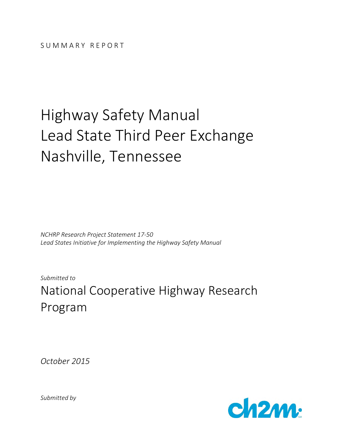# Highway Safety Manual Lead State Third Peer Exchange Nashville, Tennessee

*NCHRP Research Project Statement 17-50 Lead States Initiative for Implementing the Highway Safety Manual* 

*Submitted to* 

National Cooperative Highway Research Program

*October 2015* 



*Submitted by*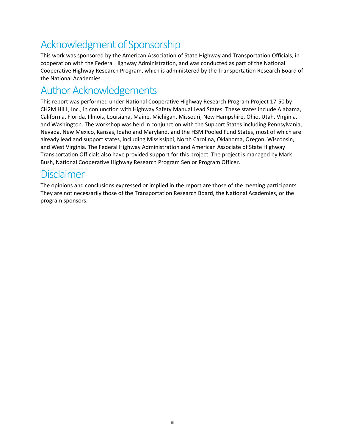### Acknowledgment of Sponsorship

This work was sponsored by the American Association of State Highway and Transportation Officials, in cooperation with the Federal Highway Administration, and was conducted as part of the National Cooperative Highway Research Program, which is administered by the Transportation Research Board of the National Academies.

### Author Acknowledgements

This report was performed under National Cooperative Highway Research Program Project 17-50 by CH2M HILL, Inc., in conjunction with Highway Safety Manual Lead States. These states include Alabama, California, Florida, Illinois, Louisiana, Maine, Michigan, Missouri, New Hampshire, Ohio, Utah, Virginia, and Washington. The workshop was held in conjunction with the Support States including Pennsylvania, Nevada, New Mexico, Kansas, Idaho and Maryland, and the HSM Pooled Fund States, most of which are already lead and support states, including Mississippi, North Carolina, Oklahoma, Oregon, Wisconsin, and West Virginia. The Federal Highway Administration and American Associate of State Highway Transportation Officials also have provided support for this project. The project is managed by Mark Bush, National Cooperative Highway Research Program Senior Program Officer.

### Disclaimer

The opinions and conclusions expressed or implied in the report are those of the meeting participants. They are not necessarily those of the Transportation Research Board, the National Academies, or the program sponsors.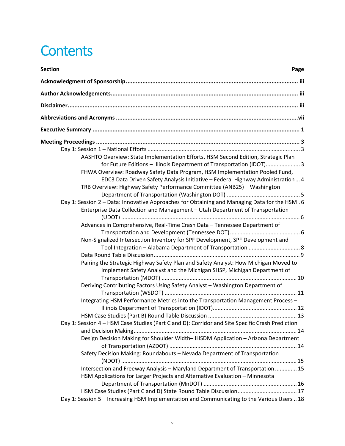## **Contents**

| <b>Section</b><br>Page                                                                                                                                                                                                                   |
|------------------------------------------------------------------------------------------------------------------------------------------------------------------------------------------------------------------------------------------|
|                                                                                                                                                                                                                                          |
|                                                                                                                                                                                                                                          |
|                                                                                                                                                                                                                                          |
|                                                                                                                                                                                                                                          |
|                                                                                                                                                                                                                                          |
|                                                                                                                                                                                                                                          |
|                                                                                                                                                                                                                                          |
| AASHTO Overview: State Implementation Efforts, HSM Second Edition, Strategic Plan<br>for Future Editions - Illinois Department of Transportation (IDOT) 3<br>FHWA Overview: Roadway Safety Data Program, HSM Implementation Pooled Fund, |
| EDC3 Data Driven Safety Analysis Initiative - Federal Highway Administration 4<br>TRB Overview: Highway Safety Performance Committee (ANB25) - Washington                                                                                |
| Day 1: Session 2 - Data: Innovative Approaches for Obtaining and Managing Data for the HSM . 6                                                                                                                                           |
| Enterprise Data Collection and Management - Utah Department of Transportation                                                                                                                                                            |
| Advances in Comprehensive, Real-Time Crash Data - Tennessee Department of                                                                                                                                                                |
|                                                                                                                                                                                                                                          |
| Non-Signalized Intersection Inventory for SPF Development, SPF Development and                                                                                                                                                           |
|                                                                                                                                                                                                                                          |
|                                                                                                                                                                                                                                          |
| Pairing the Strategic Highway Safety Plan and Safety Analyst: How Michigan Moved to<br>Implement Safety Analyst and the Michigan SHSP, Michigan Department of                                                                            |
| Deriving Contributing Factors Using Safety Analyst - Washington Department of                                                                                                                                                            |
|                                                                                                                                                                                                                                          |
| Integrating HSM Performance Metrics into the Transportation Management Process -                                                                                                                                                         |
|                                                                                                                                                                                                                                          |
|                                                                                                                                                                                                                                          |
| Day 1: Session 4 - HSM Case Studies (Part C and D): Corridor and Site Specific Crash Prediction                                                                                                                                          |
|                                                                                                                                                                                                                                          |
| Design Decision Making for Shoulder Width-IHSDM Application - Arizona Department                                                                                                                                                         |
|                                                                                                                                                                                                                                          |
| Safety Decision Making: Roundabouts - Nevada Department of Transportation                                                                                                                                                                |
| Intersection and Freeway Analysis - Maryland Department of Transportation  15                                                                                                                                                            |
| HSM Applications for Larger Projects and Alternative Evaluation - Minnesota                                                                                                                                                              |
|                                                                                                                                                                                                                                          |
|                                                                                                                                                                                                                                          |
| Day 1: Session 5 - Increasing HSM Implementation and Communicating to the Various Users  18                                                                                                                                              |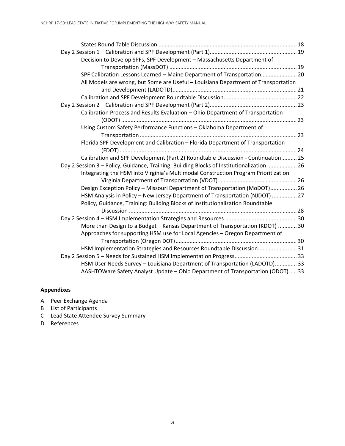| Decision to Develop SPFs, SPF Development - Massachusetts Department of                   |  |
|-------------------------------------------------------------------------------------------|--|
|                                                                                           |  |
| SPF Calibration Lessons Learned - Maine Department of Transportation 20                   |  |
| All Models are wrong, but Some are Useful - Louisiana Department of Transportation        |  |
|                                                                                           |  |
|                                                                                           |  |
|                                                                                           |  |
| Calibration Process and Results Evaluation - Ohio Department of Transportation            |  |
|                                                                                           |  |
| Using Custom Safety Performance Functions - Oklahoma Department of                        |  |
|                                                                                           |  |
| Florida SPF Development and Calibration - Florida Department of Transportation            |  |
|                                                                                           |  |
| Calibration and SPF Development (Part 2) Roundtable Discussion - Continuation 25          |  |
| Day 2 Session 3 - Policy, Guidance, Training: Building Blocks of Institutionalization  26 |  |
| Integrating the HSM into Virginia's Multimodal Construction Program Prioritization -      |  |
|                                                                                           |  |
| Design Exception Policy - Missouri Department of Transportation (MoDOT) 26                |  |
| HSM Analysis in Policy - New Jersey Department of Transportation (NJDOT)  27              |  |
| Policy, Guidance, Training: Building Blocks of Institutionalization Roundtable            |  |
|                                                                                           |  |
|                                                                                           |  |
| More than Design to a Budget - Kansas Department of Transportation (KDOT)  30             |  |
| Approaches for supporting HSM use for Local Agencies - Oregon Department of               |  |
|                                                                                           |  |
| HSM Implementation Strategies and Resources Roundtable Discussion 31                      |  |
|                                                                                           |  |
| HSM User Needs Survey - Louisiana Department of Transportation (LADOTD) 33                |  |
| AASHTOWare Safety Analyst Update - Ohio Department of Transportation (ODOT) 33            |  |

#### **Appendixes**

- A Peer Exchange Agenda
- B List of Participants
- C Lead State Attendee Survey Summary
- D References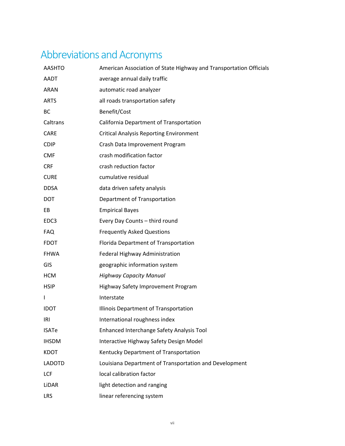## Abbreviations and Acronyms

| <b>AASHTO</b> | American Association of State Highway and Transportation Officials |
|---------------|--------------------------------------------------------------------|
| <b>AADT</b>   | average annual daily traffic                                       |
| <b>ARAN</b>   | automatic road analyzer                                            |
| <b>ARTS</b>   | all roads transportation safety                                    |
| BC            | Benefit/Cost                                                       |
| Caltrans      | California Department of Transportation                            |
| <b>CARE</b>   | <b>Critical Analysis Reporting Environment</b>                     |
| <b>CDIP</b>   | Crash Data Improvement Program                                     |
| <b>CMF</b>    | crash modification factor                                          |
| <b>CRF</b>    | crash reduction factor                                             |
| <b>CURE</b>   | cumulative residual                                                |
| <b>DDSA</b>   | data driven safety analysis                                        |
| <b>DOT</b>    | Department of Transportation                                       |
| EB            | <b>Empirical Bayes</b>                                             |
| EDC3          | Every Day Counts - third round                                     |
| <b>FAQ</b>    | <b>Frequently Asked Questions</b>                                  |
| <b>FDOT</b>   | Florida Department of Transportation                               |
| <b>FHWA</b>   | Federal Highway Administration                                     |
| GIS           | geographic information system                                      |
| <b>HCM</b>    | <b>Highway Capacity Manual</b>                                     |
| <b>HSIP</b>   | Highway Safety Improvement Program                                 |
| $\mathbf{I}$  | Interstate                                                         |
| <b>IDOT</b>   | Illinois Department of Transportation                              |
| IRI           | International roughness index                                      |
| <b>ISATe</b>  | Enhanced Interchange Safety Analysis Tool                          |
| <b>IHSDM</b>  | Interactive Highway Safety Design Model                            |
| <b>KDOT</b>   | Kentucky Department of Transportation                              |
| <b>LADOTD</b> | Louisiana Department of Transportation and Development             |
| LCF           | local calibration factor                                           |
| LiDAR         | light detection and ranging                                        |
| LRS           | linear referencing system                                          |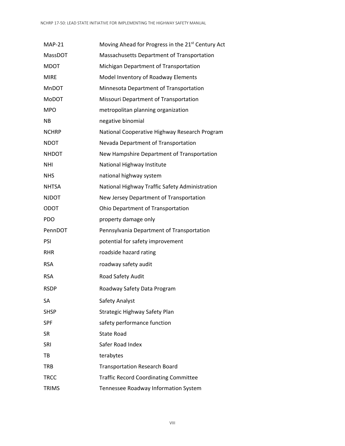| <b>MAP-21</b> | Moving Ahead for Progress in the 21 <sup>st</sup> Century Act |
|---------------|---------------------------------------------------------------|
| MassDOT       | Massachusetts Department of Transportation                    |
| <b>MDOT</b>   | Michigan Department of Transportation                         |
| <b>MIRE</b>   | Model Inventory of Roadway Elements                           |
| <b>MnDOT</b>  | Minnesota Department of Transportation                        |
| <b>MoDOT</b>  | Missouri Department of Transportation                         |
| <b>MPO</b>    | metropolitan planning organization                            |
| NB.           | negative binomial                                             |
| <b>NCHRP</b>  | National Cooperative Highway Research Program                 |
| <b>NDOT</b>   | Nevada Department of Transportation                           |
| <b>NHDOT</b>  | New Hampshire Department of Transportation                    |
| <b>NHI</b>    | National Highway Institute                                    |
| <b>NHS</b>    | national highway system                                       |
| <b>NHTSA</b>  | National Highway Traffic Safety Administration                |
| <b>NJDOT</b>  | New Jersey Department of Transportation                       |
| <b>ODOT</b>   | Ohio Department of Transportation                             |
| <b>PDO</b>    | property damage only                                          |
| PennDOT       | Pennsylvania Department of Transportation                     |
| <b>PSI</b>    | potential for safety improvement                              |
| <b>RHR</b>    | roadside hazard rating                                        |
| <b>RSA</b>    | roadway safety audit                                          |
| <b>RSA</b>    | Road Safety Audit                                             |
| <b>RSDP</b>   | Roadway Safety Data Program                                   |
| SА            | Safety Analyst                                                |
| <b>SHSP</b>   | Strategic Highway Safety Plan                                 |
| <b>SPF</b>    | safety performance function                                   |
| <b>SR</b>     | <b>State Road</b>                                             |
| SRI           | Safer Road Index                                              |
| TB            | terabytes                                                     |
| <b>TRB</b>    | <b>Transportation Research Board</b>                          |
| <b>TRCC</b>   | <b>Traffic Record Coordinating Committee</b>                  |
| <b>TRIMS</b>  | Tennessee Roadway Information System                          |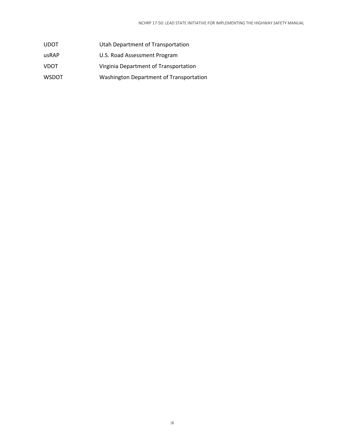- UDOT Utah Department of Transportation
- usRAP U.S. Road Assessment Program
- VDOT Virginia Department of Transportation
- WSDOT Washington Department of Transportation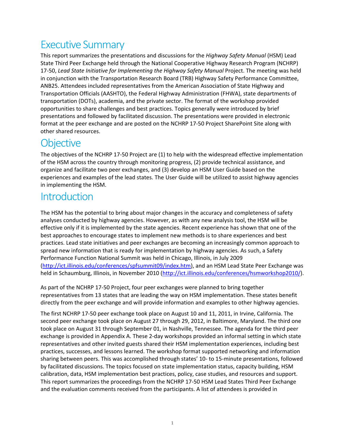### Executive Summary

This report summarizes the presentations and discussions for the *Highway Safety Manual* (HSM) Lead State Third Peer Exchange held through the National Cooperative Highway Research Program (NCHRP) 17-50, *Lead State Initiative for Implementing the Highway Safety Manual* Project. The meeting was held in conjunction with the Transportation Research Board (TRB) Highway Safety Performance Committee, ANB25. Attendees included representatives from the American Association of State Highway and Transportation Officials (AASHTO), the Federal Highway Administration (FHWA), state departments of transportation (DOTs), academia, and the private sector. The format of the workshop provided opportunities to share challenges and best practices. Topics generally were introduced by brief presentations and followed by facilitated discussion. The presentations were provided in electronic format at the peer exchange and are posted on the NCHRP 17-50 Project SharePoint Site along with other shared resources.

### **Objective**

The objectives of the NCHRP 17-50 Project are (1) to help with the widespread effective implementation of the HSM across the country through monitoring progress, (2) provide technical assistance, and organize and facilitate two peer exchanges, and (3) develop an HSM User Guide based on the experiences and examples of the lead states. The User Guide will be utilized to assist highway agencies in implementing the HSM.

### Introduction

The HSM has the potential to bring about major changes in the accuracy and completeness of safety analyses conducted by highway agencies. However, as with any new analysis tool, the HSM will be effective only if it is implemented by the state agencies. Recent experience has shown that one of the best approaches to encourage states to implement new methods is to share experiences and best practices. Lead state initiatives and peer exchanges are becoming an increasingly common approach to spread new information that is ready for implementation by highway agencies. As such, a Safety Performance Function National Summit was held in Chicago, Illinois, in July 2009 (http://ict.illinois.edu/conferences/spfsummit09/index.htm), and an HSM Lead State Peer Exchange was held in Schaumburg, Illinois, in November 2010 (http://ict.illinois.edu/conferences/hsmworkshop2010/).

As part of the NCHRP 17-50 Project, four peer exchanges were planned to bring together representatives from 13 states that are leading the way on HSM implementation. These states benefit directly from the peer exchange and will provide information and examples to other highway agencies.

The first NCHRP 17-50 peer exchange took place on August 10 and 11, 2011, in Irvine, California. The second peer exchange took place on August 27 through 29, 2012, in Baltimore, Maryland. The third one took place on August 31 through September 01, in Nashville, Tennessee. The agenda for the third peer exchange is provided in Appendix A. These 2-day workshops provided an informal setting in which state representatives and other invited guests shared their HSM implementation experiences, including best practices, successes, and lessons learned. The workshop format supported networking and information sharing between peers. This was accomplished through states' 10- to 15-minute presentations, followed by facilitated discussions. The topics focused on state implementation status, capacity building, HSM calibration, data, HSM implementation best practices, policy, case studies, and resources and support. This report summarizes the proceedings from the NCHRP 17-50 HSM Lead States Third Peer Exchange and the evaluation comments received from the participants. A list of attendees is provided in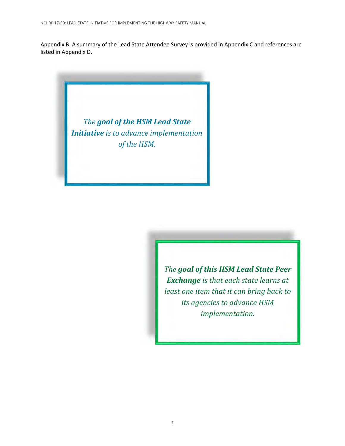Appendix B. A summary of the Lead State Attendee Survey is provided in Appendix C and references are listed in Appendix D.

> *The goal of the HSM Lead State Initiative is to advance implementation of the HSM.*

> > *The goal of this HSM Lead State Peer Exchange is that each state learns at least one item that it can bring back to its agencies to advance HSM implementation.*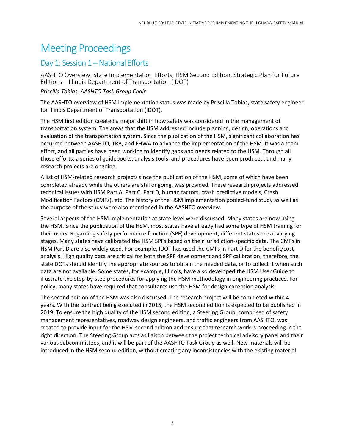### Meeting Proceedings

### Day 1: Session 1 – National Efforts

AASHTO Overview: State Implementation Efforts, HSM Second Edition, Strategic Plan for Future Editions – Illinois Department of Transportation (IDOT)

#### *Priscilla Tobias, AASHTO Task Group Chair*

The AASHTO overview of HSM implementation status was made by Priscilla Tobias, state safety engineer for Illinois Department of Transportation (IDOT).

The HSM first edition created a major shift in how safety was considered in the management of transportation system. The areas that the HSM addressed include planning, design, operations and evaluation of the transportation system. Since the publication of the HSM, significant collaboration has occurred between AASHTO, TRB, and FHWA to advance the implementation of the HSM. It was a team effort, and all parties have been working to identify gaps and needs related to the HSM. Through all those efforts, a series of guidebooks, analysis tools, and procedures have been produced, and many research projects are ongoing.

A list of HSM-related research projects since the publication of the HSM, some of which have been completed already while the others are still ongoing, was provided. These research projects addressed technical issues with HSM Part A, Part C, Part D, human factors, crash predictive models, Crash Modification Factors (CMFs), etc. The history of the HSM implementation pooled-fund study as well as the purpose of the study were also mentioned in the AASHTO overview.

Several aspects of the HSM implementation at state level were discussed. Many states are now using the HSM. Since the publication of the HSM, most states have already had some type of HSM training for their users. Regarding safety performance function (SPF) development, different states are at varying stages. Many states have calibrated the HSM SPFs based on their jurisdiction-specific data. The CMFs in HSM Part D are also widely used. For example, IDOT has used the CMFs in Part D for the benefit/cost analysis. High quality data are critical for both the SPF development and SPF calibration; therefore, the state DOTs should identify the appropriate sources to obtain the needed data, or to collect it when such data are not available. Some states, for example, Illinois, have also developed the HSM User Guide to illustrate the step-by-step procedures for applying the HSM methodology in engineering practices. For policy, many states have required that consultants use the HSM for design exception analysis.

The second edition of the HSM was also discussed. The research project will be completed within 4 years. With the contract being executed in 2015, the HSM second edition is expected to be published in 2019. To ensure the high quality of the HSM second edition, a Steering Group, comprised of safety management representatives, roadway design engineers, and traffic engineers from AASHTO, was created to provide input for the HSM second edition and ensure that research work is proceeding in the right direction. The Steering Group acts as liaison between the project technical advisory panel and their various subcommittees, and it will be part of the AASHTO Task Group as well. New materials will be introduced in the HSM second edition, without creating any inconsistencies with the existing material.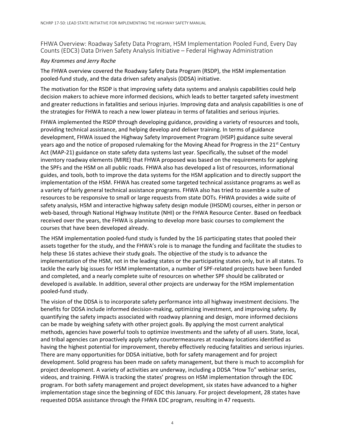FHWA Overview: Roadway Safety Data Program, HSM Implementation Pooled Fund, Every Day Counts (EDC3) Data Driven Safety Analysis Initiative – Federal Highway Administration

#### *Ray Krammes and Jerry Roche*

The FHWA overview covered the Roadway Safety Data Program (RSDP), the HSM implementation pooled-fund study, and the data driven safety analysis (DDSA) initiative.

The motivation for the RSDP is that improving safety data systems and analysis capabilities could help decision makers to achieve more informed decisions, which leads to better targeted safety investment and greater reductions in fatalities and serious injuries. Improving data and analysis capabilities is one of the strategies for FHWA to reach a new lower plateau in terms of fatalities and serious injuries.

FHWA implemented the RSDP through developing guidance, providing a variety of resources and tools, providing technical assistance, and helping develop and deliver training. In terms of guidance development, FHWA issued the Highway Safety Improvement Program (HSIP) guidance suite several years ago and the notice of proposed rulemaking for the Moving Ahead for Progress in the  $21<sup>st</sup>$  Century Act (MAP-21) guidance on state safety data systems last year. Specifically, the subset of the model inventory roadway elements (MIRE) that FHWA proposed was based on the requirements for applying the SPFs and the HSM on all public roads. FHWA also has developed a list of resources, informational guides, and tools, both to improve the data systems for the HSM application and to directly support the implementation of the HSM. FHWA has created some targeted technical assistance programs as well as a variety of fairly general technical assistance programs. FHWA also has tried to assemble a suite of resources to be responsive to small or large requests from state DOTs. FHWA provides a wide suite of safety analysis, HSM and interactive highway safety design module (IHSDM) courses, either in person or web-based, through National Highway Institute (NHI) or the FHWA Resource Center. Based on feedback received over the years, the FHWA is planning to develop more basic courses to complement the courses that have been developed already.

The HSM implementation pooled-fund study is funded by the 16 participating states that pooled their assets together for the study, and the FHWA's role is to manage the funding and facilitate the studies to help these 16 states achieve their study goals. The objective of the study is to advance the implementation of the HSM, not in the leading states or the participating states only, but in all states. To tackle the early big issues for HSM implementation, a number of SPF-related projects have been funded and completed, and a nearly complete suite of resources on whether SPF should be calibrated or developed is available. In addition, several other projects are underway for the HSM implementation pooled-fund study.

The vision of the DDSA is to incorporate safety performance into all highway investment decisions. The benefits for DDSA include informed decision-making, optimizing investment, and improving safety. By quantifying the safety impacts associated with roadway planning and design, more informed decisions can be made by weighing safety with other project goals. By applying the most current analytical methods, agencies have powerful tools to optimize investments and the safety of all users. State, local, and tribal agencies can proactively apply safety countermeasures at roadway locations identified as having the highest potential for improvement, thereby effectively reducing fatalities and serious injuries. There are many opportunities for DDSA initiative, both for safety management and for project development. Solid progress has been made on safety management, but there is much to accomplish for project development. A variety of activities are underway, including a DDSA "How To" webinar series, videos, and training. FHWA is tracking the states' progress on HSM implementation through the EDC program. For both safety management and project development, six states have advanced to a higher implementation stage since the beginning of EDC this January. For project development, 28 states have requested DDSA assistance through the FHWA EDC program, resulting in 47 requests.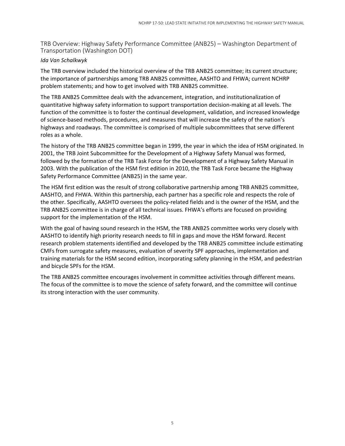TRB Overview: Highway Safety Performance Committee (ANB25) – Washington Department of Transportation (Washington DOT)

#### *Ida Van Schalkwyk*

The TRB overview included the historical overview of the TRB ANB25 committee; its current structure; the importance of partnerships among TRB ANB25 committee, AASHTO and FHWA; current NCHRP problem statements; and how to get involved with TRB ANB25 committee.

The TRB ANB25 Committee deals with the advancement, integration, and institutionalization of quantitative highway safety information to support transportation decision-making at all levels. The function of the committee is to foster the continual development, validation, and increased knowledge of science-based methods, procedures, and measures that will increase the safety of the nation's highways and roadways. The committee is comprised of multiple subcommittees that serve different roles as a whole.

The history of the TRB ANB25 committee began in 1999, the year in which the idea of HSM originated. In 2001, the TRB Joint Subcommittee for the Development of a Highway Safety Manual was formed, followed by the formation of the TRB Task Force for the Development of a Highway Safety Manual in 2003. With the publication of the HSM first edition in 2010, the TRB Task Force became the Highway Safety Performance Committee (ANB25) in the same year.

The HSM first edition was the result of strong collaborative partnership among TRB ANB25 committee, AASHTO, and FHWA. Within this partnership, each partner has a specific role and respects the role of the other. Specifically, AASHTO oversees the policy-related fields and is the owner of the HSM, and the TRB ANB25 committee is in charge of all technical issues. FHWA's efforts are focused on providing support for the implementation of the HSM.

With the goal of having sound research in the HSM, the TRB ANB25 committee works very closely with AASHTO to identify high priority research needs to fill in gaps and move the HSM forward. Recent research problem statements identified and developed by the TRB ANB25 committee include estimating CMFs from surrogate safety measures, evaluation of severity SPF approaches, implementation and training materials for the HSM second edition, incorporating safety planning in the HSM, and pedestrian and bicycle SPFs for the HSM.

The TRB ANB25 committee encourages involvement in committee activities through different means. The focus of the committee is to move the science of safety forward, and the committee will continue its strong interaction with the user community.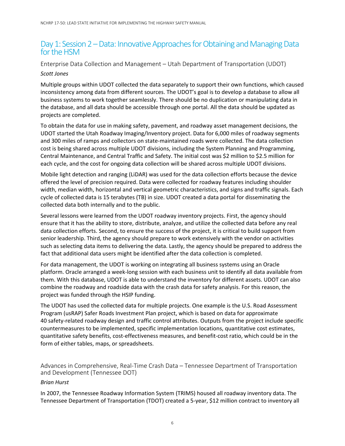### Day 1: Session 2 – Data: Innovative Approaches for Obtaining and Managing Data for the HSM

#### Enterprise Data Collection and Management – Utah Department of Transportation (UDOT) *Scott Jones*

Multiple groups within UDOT collected the data separately to support their own functions, which caused inconsistency among data from different sources. The UDOT's goal is to develop a database to allow all business systems to work together seamlessly. There should be no duplication or manipulating data in the database, and all data should be accessible through one portal. All the data should be updated as projects are completed.

To obtain the data for use in making safety, pavement, and roadway asset management decisions, the UDOT started the Utah Roadway Imaging/Inventory project. Data for 6,000 miles of roadway segments and 300 miles of ramps and collectors on state-maintained roads were collected. The data collection cost is being shared across multiple UDOT divisions, including the System Planning and Programming, Central Maintenance, and Central Traffic and Safety. The initial cost was \$2 million to \$2.5 million for each cycle, and the cost for ongoing data collection will be shared across multiple UDOT divisions.

Mobile light detection and ranging (LiDAR) was used for the data collection efforts because the device offered the level of precision required. Data were collected for roadway features including shoulder width, median width, horizontal and vertical geometric characteristics, and signs and traffic signals. Each cycle of collected data is 15 terabytes (TB) in size. UDOT created a data portal for disseminating the collected data both internally and to the public.

Several lessons were learned from the UDOT roadway inventory projects. First, the agency should ensure that it has the ability to store, distribute, analyze, and utilize the collected data before any real data collection efforts. Second, to ensure the success of the project, it is critical to build support from senior leadership. Third, the agency should prepare to work extensively with the vendor on activities such as selecting data items to delivering the data. Lastly, the agency should be prepared to address the fact that additional data users might be identified after the data collection is completed.

For data management, the UDOT is working on integrating all business systems using an Oracle platform. Oracle arranged a week-long session with each business unit to identify all data available from them. With this database, UDOT is able to understand the inventory for different assets. UDOT can also combine the roadway and roadside data with the crash data for safety analysis. For this reason, the project was funded through the HSIP funding.

The UDOT has used the collected data for multiple projects. One example is the U.S. Road Assessment Program (usRAP) Safer Roads Investment Plan project, which is based on data for approximate 40 safety-related roadway design and traffic control attributes. Outputs from the project include specific countermeasures to be implemented, specific implementation locations, quantitative cost estimates, quantitative safety benefits, cost-effectiveness measures, and benefit-cost ratio, which could be in the form of either tables, maps, or spreadsheets.

Advances in Comprehensive, Real-Time Crash Data – Tennessee Department of Transportation and Development (Tennessee DOT)

#### *Brian Hurst*

In 2007, the Tennessee Roadway Information System (TRIMS) housed all roadway inventory data. The Tennessee Department of Transportation (TDOT) created a 5-year, \$12 million contract to inventory all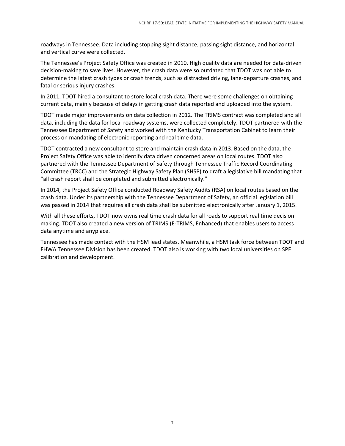roadways in Tennessee. Data including stopping sight distance, passing sight distance, and horizontal and vertical curve were collected.

The Tennessee's Project Safety Office was created in 2010. High quality data are needed for data-driven decision-making to save lives. However, the crash data were so outdated that TDOT was not able to determine the latest crash types or crash trends, such as distracted driving, lane-departure crashes, and fatal or serious injury crashes.

In 2011, TDOT hired a consultant to store local crash data. There were some challenges on obtaining current data, mainly because of delays in getting crash data reported and uploaded into the system.

TDOT made major improvements on data collection in 2012. The TRIMS contract was completed and all data, including the data for local roadway systems, were collected completely. TDOT partnered with the Tennessee Department of Safety and worked with the Kentucky Transportation Cabinet to learn their process on mandating of electronic reporting and real time data.

TDOT contracted a new consultant to store and maintain crash data in 2013. Based on the data, the Project Safety Office was able to identify data driven concerned areas on local routes. TDOT also partnered with the Tennessee Department of Safety through Tennessee Traffic Record Coordinating Committee (TRCC) and the Strategic Highway Safety Plan (SHSP) to draft a legislative bill mandating that "all crash report shall be completed and submitted electronically."

In 2014, the Project Safety Office conducted Roadway Safety Audits (RSA) on local routes based on the crash data. Under its partnership with the Tennessee Department of Safety, an official legislation bill was passed in 2014 that requires all crash data shall be submitted electronically after January 1, 2015.

With all these efforts, TDOT now owns real time crash data for all roads to support real time decision making. TDOT also created a new version of TRIMS (E-TRIMS, Enhanced) that enables users to access data anytime and anyplace.

Tennessee has made contact with the HSM lead states. Meanwhile, a HSM task force between TDOT and FHWA Tennessee Division has been created. TDOT also is working with two local universities on SPF calibration and development.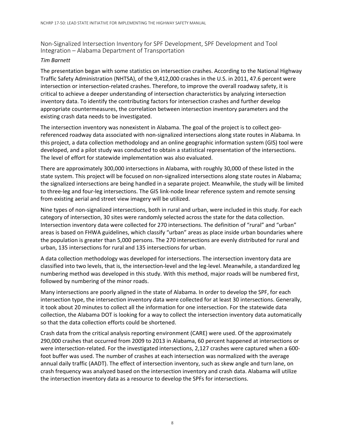Non-Signalized Intersection Inventory for SPF Development, SPF Development and Tool Integration – Alabama Department of Transportation

#### *Tim Barnett*

The presentation began with some statistics on intersection crashes. According to the National Highway Traffic Safety Administration (NHTSA), of the 9,412,000 crashes in the U.S. in 2011, 47.6 percent were intersection or intersection-related crashes. Therefore, to improve the overall roadway safety, it is critical to achieve a deeper understanding of intersection characteristics by analyzing intersection inventory data. To identify the contributing factors for intersection crashes and further develop appropriate countermeasures, the correlation between intersection inventory parameters and the existing crash data needs to be investigated.

The intersection inventory was nonexistent in Alabama. The goal of the project is to collect georeferenced roadway data associated with non-signalized intersections along state routes in Alabama. In this project, a data collection methodology and an online geographic information system (GIS) tool were developed, and a pilot study was conducted to obtain a statistical representation of the intersections. The level of effort for statewide implementation was also evaluated.

There are approximately 300,000 intersections in Alabama, with roughly 30,000 of these listed in the state system. This project will be focused on non-signalized intersections along state routes in Alabama; the signalized intersections are being handled in a separate project. Meanwhile, the study will be limited to three-leg and four-leg intersections. The GIS link-node linear reference system and remote sensing from existing aerial and street view imagery will be utilized.

Nine types of non-signalized intersections, both in rural and urban, were included in this study. For each category of intersection, 30 sites were randomly selected across the state for the data collection. Intersection inventory data were collected for 270 intersections. The definition of "rural" and "urban" areas is based on FHWA guidelines, which classify "urban" areas as place inside urban boundaries where the population is greater than 5,000 persons. The 270 intersections are evenly distributed for rural and urban, 135 intersections for rural and 135 intersections for urban.

A data collection methodology was developed for intersections. The intersection inventory data are classified into two levels, that is, the intersection-level and the leg-level. Meanwhile, a standardized leg numbering method was developed in this study. With this method, major roads will be numbered first, followed by numbering of the minor roads.

Many intersections are poorly aligned in the state of Alabama. In order to develop the SPF, for each intersection type, the intersection inventory data were collected for at least 30 intersections. Generally, it took about 20 minutes to collect all the information for one intersection. For the statewide data collection, the Alabama DOT is looking for a way to collect the intersection inventory data automatically so that the data collection efforts could be shortened.

Crash data from the critical analysis reporting environment (CARE) were used. Of the approximately 290,000 crashes that occurred from 2009 to 2013 in Alabama, 60 percent happened at intersections or were intersection-related. For the investigated intersections, 2,127 crashes were captured when a 600 foot buffer was used. The number of crashes at each intersection was normalized with the average annual daily traffic (AADT). The effect of intersection inventory, such as skew angle and turn lane, on crash frequency was analyzed based on the intersection inventory and crash data. Alabama will utilize the intersection inventory data as a resource to develop the SPFs for intersections.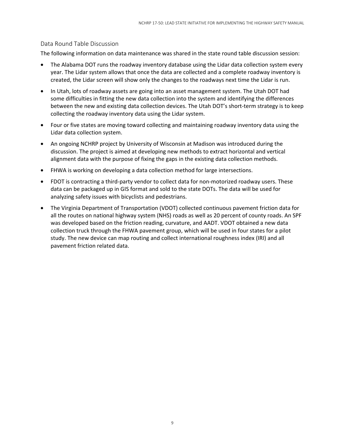#### Data Round Table Discussion

The following information on data maintenance was shared in the state round table discussion session:

- The Alabama DOT runs the roadway inventory database using the Lidar data collection system every year. The Lidar system allows that once the data are collected and a complete roadway inventory is created, the Lidar screen will show only the changes to the roadways next time the Lidar is run.
- In Utah, lots of roadway assets are going into an asset management system. The Utah DOT had some difficulties in fitting the new data collection into the system and identifying the differences between the new and existing data collection devices. The Utah DOT's short-term strategy is to keep collecting the roadway inventory data using the Lidar system.
- Four or five states are moving toward collecting and maintaining roadway inventory data using the Lidar data collection system.
- An ongoing NCHRP project by University of Wisconsin at Madison was introduced during the discussion. The project is aimed at developing new methods to extract horizontal and vertical alignment data with the purpose of fixing the gaps in the existing data collection methods.
- FHWA is working on developing a data collection method for large intersections.
- FDOT is contracting a third-party vendor to collect data for non-motorized roadway users. These data can be packaged up in GIS format and sold to the state DOTs. The data will be used for analyzing safety issues with bicyclists and pedestrians.
- The Virginia Department of Transportation (VDOT) collected continuous pavement friction data for all the routes on national highway system (NHS) roads as well as 20 percent of county roads. An SPF was developed based on the friction reading, curvature, and AADT. VDOT obtained a new data collection truck through the FHWA pavement group, which will be used in four states for a pilot study. The new device can map routing and collect international roughness index (IRI) and all pavement friction related data.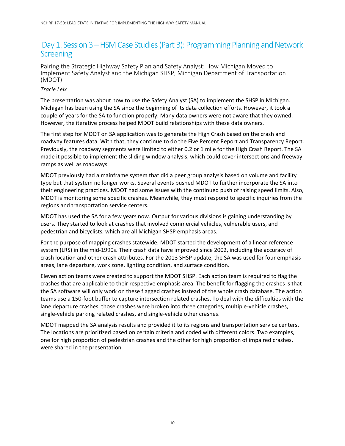### Day 1: Session 3 – HSM Case Studies (Part B): Programming Planning and Network **Screening**

Pairing the Strategic Highway Safety Plan and Safety Analyst: How Michigan Moved to Implement Safety Analyst and the Michigan SHSP, Michigan Department of Transportation (MDOT)

#### *Tracie Leix*

The presentation was about how to use the Safety Analyst (SA) to implement the SHSP in Michigan. Michigan has been using the SA since the beginning of its data collection efforts. However, it took a couple of years for the SA to function properly. Many data owners were not aware that they owned. However, the iterative process helped MDOT build relationships with these data owners.

The first step for MDOT on SA application was to generate the High Crash based on the crash and roadway features data. With that, they continue to do the Five Percent Report and Transparency Report. Previously, the roadway segments were limited to either 0.2 or 1 mile for the High Crash Report. The SA made it possible to implement the sliding window analysis, which could cover intersections and freeway ramps as well as roadways.

MDOT previously had a mainframe system that did a peer group analysis based on volume and facility type but that system no longer works. Several events pushed MDOT to further incorporate the SA into their engineering practices. MDOT had some issues with the continued push of raising speed limits. Also, MDOT is monitoring some specific crashes. Meanwhile, they must respond to specific inquiries from the regions and transportation service centers.

MDOT has used the SA for a few years now. Output for various divisions is gaining understanding by users. They started to look at crashes that involved commercial vehicles, vulnerable users, and pedestrian and bicyclists, which are all Michigan SHSP emphasis areas.

For the purpose of mapping crashes statewide, MDOT started the development of a linear reference system (LRS) in the mid-1990s. Their crash data have improved since 2002, including the accuracy of crash location and other crash attributes. For the 2013 SHSP update, the SA was used for four emphasis areas, lane departure, work zone, lighting condition, and surface condition.

Eleven action teams were created to support the MDOT SHSP. Each action team is required to flag the crashes that are applicable to their respective emphasis area. The benefit for flagging the crashes is that the SA software will only work on these flagged crashes instead of the whole crash database. The action teams use a 150-foot buffer to capture intersection related crashes. To deal with the difficulties with the lane departure crashes, those crashes were broken into three categories, multiple-vehicle crashes, single-vehicle parking related crashes, and single-vehicle other crashes.

MDOT mapped the SA analysis results and provided it to its regions and transportation service centers. The locations are prioritized based on certain criteria and coded with different colors. Two examples, one for high proportion of pedestrian crashes and the other for high proportion of impaired crashes, were shared in the presentation.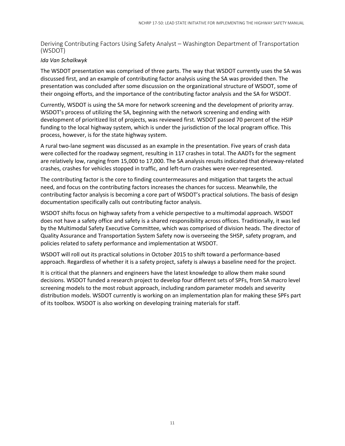Deriving Contributing Factors Using Safety Analyst – Washington Department of Transportation (WSDOT)

#### *Ida Van Schalkwyk*

The WSDOT presentation was comprised of three parts. The way that WSDOT currently uses the SA was discussed first, and an example of contributing factor analysis using the SA was provided then. The presentation was concluded after some discussion on the organizational structure of WSDOT, some of their ongoing efforts, and the importance of the contributing factor analysis and the SA for WSDOT.

Currently, WSDOT is using the SA more for network screening and the development of priority array. WSDOT's process of utilizing the SA, beginning with the network screening and ending with development of prioritized list of projects, was reviewed first. WSDOT passed 70 percent of the HSIP funding to the local highway system, which is under the jurisdiction of the local program office. This process, however, is for the state highway system.

A rural two-lane segment was discussed as an example in the presentation. Five years of crash data were collected for the roadway segment, resulting in 117 crashes in total. The AADTs for the segment are relatively low, ranging from 15,000 to 17,000. The SA analysis results indicated that driveway-related crashes, crashes for vehicles stopped in traffic, and left-turn crashes were over-represented.

The contributing factor is the core to finding countermeasures and mitigation that targets the actual need, and focus on the contributing factors increases the chances for success. Meanwhile, the contributing factor analysis is becoming a core part of WSDOT's practical solutions. The basis of design documentation specifically calls out contributing factor analysis.

WSDOT shifts focus on highway safety from a vehicle perspective to a multimodal approach. WSDOT does not have a safety office and safety is a shared responsibility across offices. Traditionally, it was led by the Multimodal Safety Executive Committee, which was comprised of division heads. The director of Quality Assurance and Transportation System Safety now is overseeing the SHSP, safety program, and policies related to safety performance and implementation at WSDOT.

WSDOT will roll out its practical solutions in October 2015 to shift toward a performance-based approach. Regardless of whether it is a safety project, safety is always a baseline need for the project.

It is critical that the planners and engineers have the latest knowledge to allow them make sound decisions. WSDOT funded a research project to develop four different sets of SPFs, from SA macro level screening models to the most robust approach, including random parameter models and severity distribution models. WSDOT currently is working on an implementation plan for making these SPFs part of its toolbox. WSDOT is also working on developing training materials for staff.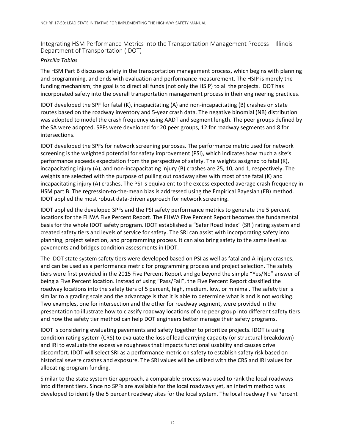Integrating HSM Performance Metrics into the Transportation Management Process – Illinois Department of Transportation (IDOT)

#### *Priscilla Tobias*

The HSM Part B discusses safety in the transportation management process, which begins with planning and programming, and ends with evaluation and performance measurement. The HSIP is merely the funding mechanism; the goal is to direct all funds (not only the HSIP) to all the projects. IDOT has incorporated safety into the overall transportation management process in their engineering practices.

IDOT developed the SPF for fatal (K), incapacitating (A) and non-incapacitating (B) crashes on state routes based on the roadway inventory and 5-year crash data. The negative binomial (NB) distribution was adopted to model the crash frequency using AADT and segment length. The peer groups defined by the SA were adopted. SPFs were developed for 20 peer groups, 12 for roadway segments and 8 for intersections.

IDOT developed the SPFs for network screening purposes. The performance metric used for network screening is the weighted potential for safety improvement (PSI), which indicates how much a site's performance exceeds expectation from the perspective of safety. The weights assigned to fatal (K), incapacitating injury (A), and non-incapacitating injury (B) crashes are 25, 10, and 1, respectively. The weights are selected with the purpose of pulling out roadway sites with most of the fatal (K) and incapacitating injury (A) crashes. The PSI is equivalent to the excess expected average crash frequency in HSM part B. The regression-to-the-mean bias is addressed using the Empirical Bayesian (EB) method. IDOT applied the most robust data-driven approach for network screening.

IDOT applied the developed SPFs and the PSI safety performance metrics to generate the 5 percent locations for the FHWA Five Percent Report. The FHWA Five Percent Report becomes the fundamental basis for the whole IDOT safety program. IDOT established a "Safer Road Index" (SRI) rating system and created safety tiers and levels of service for safety. The SRI can assist with incorporating safety into planning, project selection, and programming process. It can also bring safety to the same level as pavements and bridges condition assessments in IDOT.

The IDOT state system safety tiers were developed based on PSI as well as fatal and A-injury crashes, and can be used as a performance metric for programming process and project selection. The safety tiers were first provided in the 2015 Five Percent Report and go beyond the simple "Yes/No" answer of being a Five Percent location. Instead of using "Pass/Fail", the Five Percent Report classified the roadway locations into the safety tiers of 5 percent, high, medium, low, or minimal. The safety tier is similar to a grading scale and the advantage is that it is able to determine what is and is not working. Two examples, one for intersection and the other for roadway segment, were provided in the presentation to illustrate how to classify roadway locations of one peer group into different safety tiers and how the safety tier method can help DOT engineers better manage their safety programs.

IDOT is considering evaluating pavements and safety together to prioritize projects. IDOT is using condition rating system (CRS) to evaluate the loss of load carrying capacity (or structural breakdown) and IRI to evaluate the excessive roughness that impacts functional usability and causes drive discomfort. IDOT will select SRI as a performance metric on safety to establish safety risk based on historical severe crashes and exposure. The SRI values will be utilized with the CRS and IRI values for allocating program funding.

Similar to the state system tier approach, a comparable process was used to rank the local roadways into different tiers. Since no SPFs are available for the local roadways yet, an interim method was developed to identify the 5 percent roadway sites for the local system. The local roadway Five Percent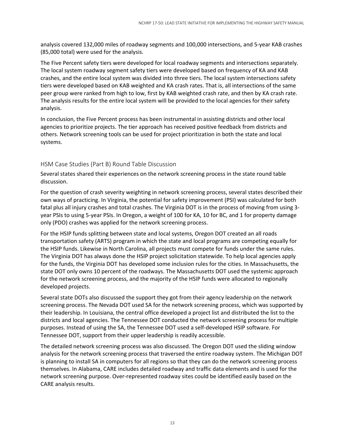analysis covered 132,000 miles of roadway segments and 100,000 intersections, and 5-year KAB crashes (85,000 total) were used for the analysis.

The Five Percent safety tiers were developed for local roadway segments and intersections separately. The local system roadway segment safety tiers were developed based on frequency of KA and KAB crashes, and the entire local system was divided into three tiers. The local system intersections safety tiers were developed based on KAB weighted and KA crash rates. That is, all intersections of the same peer group were ranked from high to low, first by KAB weighted crash rate, and then by KA crash rate. The analysis results for the entire local system will be provided to the local agencies for their safety analysis.

In conclusion, the Five Percent process has been instrumental in assisting districts and other local agencies to prioritize projects. The tier approach has received positive feedback from districts and others. Network screening tools can be used for project prioritization in both the state and local systems.

#### HSM Case Studies (Part B) Round Table Discussion

Several states shared their experiences on the network screening process in the state round table discussion.

For the question of crash severity weighting in network screening process, several states described their own ways of practicing. In Virginia, the potential for safety improvement (PSI) was calculated for both fatal plus all injury crashes and total crashes. The Virginia DOT is in the process of moving from using 3 year PSIs to using 5-year PSIs. In Oregon, a weight of 100 for KA, 10 for BC, and 1 for property damage only (PDO) crashes was applied for the network screening process.

For the HSIP funds splitting between state and local systems, Oregon DOT created an all roads transportation safety (ARTS) program in which the state and local programs are competing equally for the HSIP funds. Likewise in North Carolina, all projects must compete for funds under the same rules. The Virginia DOT has always done the HSIP project solicitation statewide. To help local agencies apply for the funds, the Virginia DOT has developed some inclusion rules for the cities. In Massachusetts, the state DOT only owns 10 percent of the roadways. The Massachusetts DOT used the systemic approach for the network screening process, and the majority of the HSIP funds were allocated to regionally developed projects.

Several state DOTs also discussed the support they got from their agency leadership on the network screening process. The Nevada DOT used SA for the network screening process, which was supported by their leadership. In Louisiana, the central office developed a project list and distributed the list to the districts and local agencies. The Tennessee DOT conducted the network screening process for multiple purposes. Instead of using the SA, the Tennessee DOT used a self-developed HSIP software. For Tennessee DOT, support from their upper leadership is readily accessible.

The detailed network screening process was also discussed. The Oregon DOT used the sliding window analysis for the network screening process that traversed the entire roadway system. The Michigan DOT is planning to install SA in computers for all regions so that they can do the network screening process themselves. In Alabama, CARE includes detailed roadway and traffic data elements and is used for the network screening purpose. Over-represented roadway sites could be identified easily based on the CARE analysis results.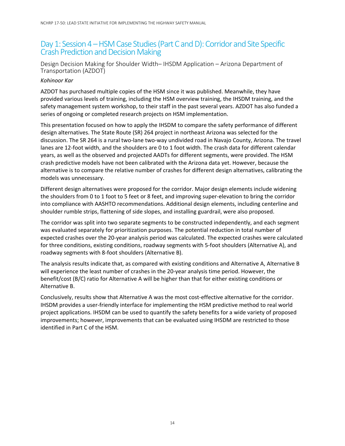### Day 1: Session 4 – HSM Case Studies (Part C and D): Corridor and Site Specific Crash Prediction and Decision Making

Design Decision Making for Shoulder Width– IHSDM Application – Arizona Department of Transportation (AZDOT)

#### *Kohinoor Kar*

AZDOT has purchased multiple copies of the HSM since it was published. Meanwhile, they have provided various levels of training, including the HSM overview training, the IHSDM training, and the safety management system workshop, to their staff in the past several years. AZDOT has also funded a series of ongoing or completed research projects on HSM implementation.

This presentation focused on how to apply the IHSDM to compare the safety performance of different design alternatives. The State Route (SR) 264 project in northeast Arizona was selected for the discussion. The SR 264 is a rural two-lane two-way undivided road in Navajo County, Arizona. The travel lanes are 12-foot width, and the shoulders are 0 to 1 foot width. The crash data for different calendar years, as well as the observed and projected AADTs for different segments, were provided. The HSM crash predictive models have not been calibrated with the Arizona data yet. However, because the alternative is to compare the relative number of crashes for different design alternatives, calibrating the models was unnecessary.

Different design alternatives were proposed for the corridor. Major design elements include widening the shoulders from 0 to 1 foot to 5 feet or 8 feet, and improving super-elevation to bring the corridor into compliance with AASHTO recommendations. Additional design elements, including centerline and shoulder rumble strips, flattening of side slopes, and installing guardrail, were also proposed.

The corridor was split into two separate segments to be constructed independently, and each segment was evaluated separately for prioritization purposes. The potential reduction in total number of expected crashes over the 20-year analysis period was calculated. The expected crashes were calculated for three conditions, existing conditions, roadway segments with 5-foot shoulders (Alternative A), and roadway segments with 8-foot shoulders (Alternative B).

The analysis results indicate that, as compared with existing conditions and Alternative A, Alternative B will experience the least number of crashes in the 20-year analysis time period. However, the benefit/cost (B/C) ratio for Alternative A will be higher than that for either existing conditions or Alternative B.

Conclusively, results show that Alternative A was the most cost-effective alternative for the corridor. IHSDM provides a user-friendly interface for implementing the HSM predictive method to real world project applications. IHSDM can be used to quantify the safety benefits for a wide variety of proposed improvements; however, improvements that can be evaluated using IHSDM are restricted to those identified in Part C of the HSM.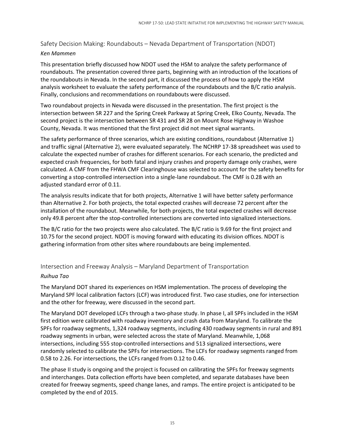#### Safety Decision Making: Roundabouts – Nevada Department of Transportation (NDOT) *Ken Mammen*

This presentation briefly discussed how NDOT used the HSM to analyze the safety performance of roundabouts. The presentation covered three parts, beginning with an introduction of the locations of the roundabouts in Nevada. In the second part, it discussed the process of how to apply the HSM analysis worksheet to evaluate the safety performance of the roundabouts and the B/C ratio analysis. Finally, conclusions and recommendations on roundabouts were discussed.

Two roundabout projects in Nevada were discussed in the presentation. The first project is the intersection between SR 227 and the Spring Creek Parkway at Spring Creek, Elko County, Nevada. The second project is the intersection between SR 431 and SR 28 on Mount Rose Highway in Washoe County, Nevada. It was mentioned that the first project did not meet signal warrants.

The safety performance of three scenarios, which are existing conditions, roundabout (Alternative 1) and traffic signal (Alternative 2), were evaluated separately. The NCHRP 17-38 spreadsheet was used to calculate the expected number of crashes for different scenarios. For each scenario, the predicted and expected crash frequencies, for both fatal and injury crashes and property damage only crashes, were calculated. A CMF from the FHWA CMF Clearinghouse was selected to account for the safety benefits for converting a stop-controlled intersection into a single-lane roundabout. The CMF is 0.28 with an adjusted standard error of 0.11.

The analysis results indicate that for both projects, Alternative 1 will have better safety performance than Alternative 2. For both projects, the total expected crashes will decrease 72 percent after the installation of the roundabout. Meanwhile, for both projects, the total expected crashes will decrease only 49.8 percent after the stop-controlled intersections are converted into signalized intersections.

The B/C ratio for the two projects were also calculated. The B/C ratio is 9.69 for the first project and 10.75 for the second project. NDOT is moving forward with educating its division offices. NDOT is gathering information from other sites where roundabouts are being implemented.

#### Intersection and Freeway Analysis – Maryland Department of Transportation

#### *Ruihua Tao*

The Maryland DOT shared its experiences on HSM implementation. The process of developing the Maryland SPF local calibration factors (LCF) was introduced first. Two case studies, one for intersection and the other for freeway, were discussed in the second part.

The Maryland DOT developed LCFs through a two-phase study. In phase I, all SPFs included in the HSM first edition were calibrated with roadway inventory and crash data from Maryland. To calibrate the SPFs for roadway segments, 1,324 roadway segments, including 430 roadway segments in rural and 891 roadway segments in urban, were selected across the state of Maryland. Meanwhile, 1,068 intersections, including 555 stop-controlled intersections and 513 signalized intersections, were randomly selected to calibrate the SPFs for intersections. The LCFs for roadway segments ranged from 0.58 to 2.26. For intersections, the LCFs ranged from 0.12 to 0.46.

The phase II study is ongoing and the project is focused on calibrating the SPFs for freeway segments and interchanges. Data collection efforts have been completed, and separate databases have been created for freeway segments, speed change lanes, and ramps. The entire project is anticipated to be completed by the end of 2015.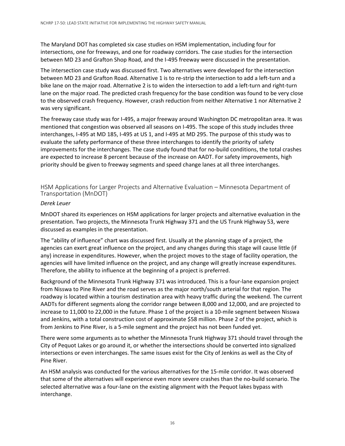The Maryland DOT has completed six case studies on HSM implementation, including four for intersections, one for freeways, and one for roadway corridors. The case studies for the intersection between MD 23 and Grafton Shop Road, and the I-495 freeway were discussed in the presentation.

The intersection case study was discussed first. Two alternatives were developed for the intersection between MD 23 and Grafton Road. Alternative 1 is to re-strip the intersection to add a left-turn and a bike lane on the major road. Alternative 2 is to widen the intersection to add a left-turn and right-turn lane on the major road. The predicted crash frequency for the base condition was found to be very close to the observed crash frequency. However, crash reduction from neither Alternative 1 nor Alternative 2 was very significant.

The freeway case study was for I-495, a major freeway around Washington DC metropolitan area. It was mentioned that congestion was observed all seasons on I-495. The scope of this study includes three interchanges, I-495 at MD 185, I-495 at US 1, and I-495 at MD 295. The purpose of this study was to evaluate the safety performance of these three interchanges to identify the priority of safety improvements for the interchanges. The case study found that for no-build conditions, the total crashes are expected to increase 8 percent because of the increase on AADT. For safety improvements, high priority should be given to freeway segments and speed change lanes at all three interchanges.

HSM Applications for Larger Projects and Alternative Evaluation – Minnesota Department of Transportation (MnDOT)

#### *Derek Leuer*

MnDOT shared its experiences on HSM applications for larger projects and alternative evaluation in the presentation. Two projects, the Minnesota Trunk Highway 371 and the US Trunk Highway 53, were discussed as examples in the presentation.

The "ability of influence" chart was discussed first. Usually at the planning stage of a project, the agencies can exert great influence on the project, and any changes during this stage will cause little (if any) increase in expenditures. However, when the project moves to the stage of facility operation, the agencies will have limited influence on the project, and any change will greatly increase expenditures. Therefore, the ability to influence at the beginning of a project is preferred.

Background of the Minnesota Trunk Highway 371 was introduced. This is a four-lane expansion project from Nisswa to Pine River and the road serves as the major north/south arterial for that region. The roadway is located within a tourism destination area with heavy traffic during the weekend. The current AADTs for different segments along the corridor range between 8,000 and 12,000, and are projected to increase to 11,000 to 22,000 in the future. Phase 1 of the project is a 10-mile segment between Nisswa and Jenkins, with a total construction cost of approximate \$58 million. Phase 2 of the project, which is from Jenkins to Pine River, is a 5-mile segment and the project has not been funded yet.

There were some arguments as to whether the Minnesota Trunk Highway 371 should travel through the City of Pequot Lakes or go around it, or whether the intersections should be converted into signalized intersections or even interchanges. The same issues exist for the City of Jenkins as well as the City of Pine River.

An HSM analysis was conducted for the various alternatives for the 15-mile corridor. It was observed that some of the alternatives will experience even more severe crashes than the no-build scenario. The selected alternative was a four-lane on the existing alignment with the Pequot lakes bypass with interchange.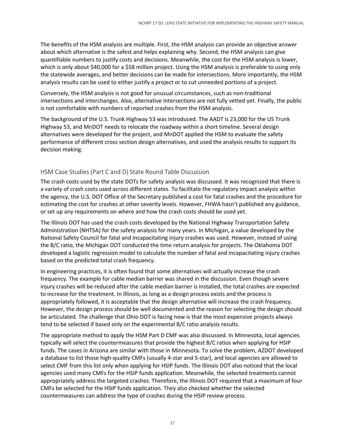The benefits of the HSM analysis are multiple. First, the HSM analysis can provide an objective answer about which alternative is the safest and helps explaining why. Second, the HSM analysis can give quantifiable numbers to justify costs and decisions. Meanwhile, the cost for the HSM analysis is lower, which is only about \$40,000 for a \$58 million project. Using the HSM analysis is preferable to using only the statewide averages, and better decisions can be made for intersections. More importantly, the HSM analysis results can be used to either justify a project or to cut unneeded portions of a project.

Conversely, the HSM analysis is not good for unusual circumstances, such as non-traditional intersections and interchanges. Also, alternative intersections are not fully vetted yet. Finally, the public is not comfortable with numbers of reported crashes from the HSM analysis.

The background of the U.S. Trunk Highway 53 was introduced. The AADT is 23,000 for the US Trunk Highway 53, and MnDOT needs to relocate the roadway within a short timeline. Several design alternatives were developed for the project, and MnDOT applied the HSM to evaluate the safety performance of different cross section design alternatives, and used the analysis results to support its decision making.

#### HSM Case Studies (Part C and D) State Round Table Discussion

The crash costs used by the state DOTs for safety analysis was discussed. It was recognized that there is a variety of crash costs used across different states. To facilitate the regulatory impact analysis within the agency, the U.S. DOT Office of the Secretary published a cost for fatal crashes and the procedure for estimating the cost for crashes at other severity levels. However, FHWA hasn't published any guidance, or set up any requirements on where and how the crash costs should be used yet.

The Illinois DOT has used the crash costs developed by the National Highway Transportation Safety Administration (NHTSA) for the safety analysis for many years. In Michigan, a value developed by the National Safety Council for fatal and incapacitating injury crashes was used. However, instead of using the B/C ratio, the Michigan DOT conducted the time return analysis for projects. The Oklahoma DOT developed a logistic regression model to calculate the number of fatal and incapacitating injury crashes based on the predicted total crash frequency.

In engineering practices, it is often found that some alternatives will actually increase the crash frequency. The example for cable median barrier was shared in the discussion. Even though severe injury crashes will be reduced after the cable median barrier is installed, the total crashes are expected to increase for the treatment. In Illinois, as long as a design process exists and the process is appropriately followed, it is acceptable that the design alternative will increase the crash frequency. However, the design process should be well documented and the reason for selecting the design should be articulated. The challenge that Ohio DOT is facing now is that the most expensive projects always tend to be selected if based only on the experimental B/C ratio analysis results.

The appropriate method to apply the HSM Part D CMF was also discussed. In Minnesota, local agencies typically will select the countermeasures that provide the highest B/C ratios when applying for HSIP funds. The cases in Arizona are similar with those in Minnesota. To solve the problem, AZDOT developed a database to list those high-quality CMFs (usually 4-star and 5-star), and local agencies are allowed to select CMF from this list only when applying for HSIP funds. The Illinois DOT also noticed that the local agencies used many CMFs for the HSIP funds application. Meanwhile, the selected treatments cannot appropriately address the targeted crashes. Therefore, the Illinois DOT required that a maximum of four CMFs be selected for the HSIP funds application. They also checked whether the selected countermeasures can address the type of crashes during the HSIP review process.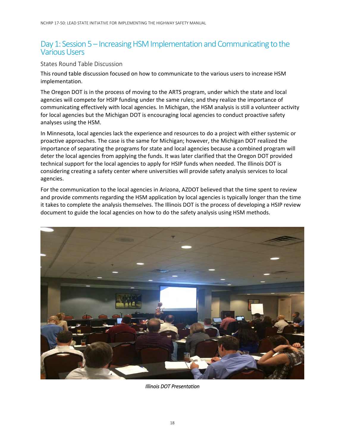### Day 1: Session 5 – Increasing HSM Implementation and Communicating to the Various Users

#### States Round Table Discussion

This round table discussion focused on how to communicate to the various users to increase HSM implementation.

The Oregon DOT is in the process of moving to the ARTS program, under which the state and local agencies will compete for HSIP funding under the same rules; and they realize the importance of communicating effectively with local agencies. In Michigan, the HSM analysis is still a volunteer activity for local agencies but the Michigan DOT is encouraging local agencies to conduct proactive safety analyses using the HSM.

In Minnesota, local agencies lack the experience and resources to do a project with either systemic or proactive approaches. The case is the same for Michigan; however, the Michigan DOT realized the importance of separating the programs for state and local agencies because a combined program will deter the local agencies from applying the funds. It was later clarified that the Oregon DOT provided technical support for the local agencies to apply for HSIP funds when needed. The Illinois DOT is considering creating a safety center where universities will provide safety analysis services to local agencies.

For the communication to the local agencies in Arizona, AZDOT believed that the time spent to review and provide comments regarding the HSM application by local agencies is typically longer than the time it takes to complete the analysis themselves. The Illinois DOT is the process of developing a HSIP review document to guide the local agencies on how to do the safety analysis using HSM methods.



 *Illinois DOT Presentation*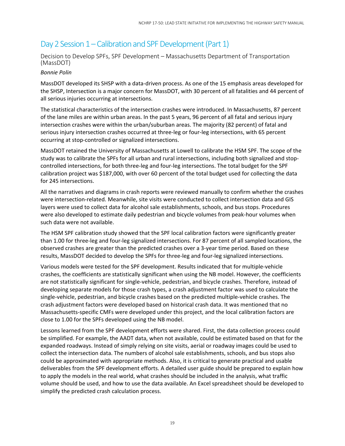### Day 2 Session 1 – Calibration and SPF Development (Part 1)

#### Decision to Develop SPFs, SPF Development – Massachusetts Department of Transportation (MassDOT)

#### *Bonnie Polin*

MassDOT developed its SHSP with a data-driven process. As one of the 15 emphasis areas developed for the SHSP, Intersection is a major concern for MassDOT, with 30 percent of all fatalities and 44 percent of all serious injuries occurring at intersections.

The statistical characteristics of the intersection crashes were introduced. In Massachusetts, 87 percent of the lane miles are within urban areas. In the past 5 years, 96 percent of all fatal and serious injury intersection crashes were within the urban/suburban areas. The majority (82 percent) of fatal and serious injury intersection crashes occurred at three-leg or four-leg intersections, with 65 percent occurring at stop-controlled or signalized intersections.

MassDOT retained the University of Massachusetts at Lowell to calibrate the HSM SPF. The scope of the study was to calibrate the SPFs for all urban and rural intersections, including both signalized and stopcontrolled intersections, for both three-leg and four-leg intersections. The total budget for the SPF calibration project was \$187,000, with over 60 percent of the total budget used for collecting the data for 245 intersections.

All the narratives and diagrams in crash reports were reviewed manually to confirm whether the crashes were intersection-related. Meanwhile, site visits were conducted to collect intersection data and GIS layers were used to collect data for alcohol sale establishments, schools, and bus stops. Procedures were also developed to estimate daily pedestrian and bicycle volumes from peak-hour volumes when such data were not available.

The HSM SPF calibration study showed that the SPF local calibration factors were significantly greater than 1.00 for three-leg and four-leg signalized intersections. For 87 percent of all sampled locations, the observed crashes are greater than the predicted crashes over a 3-year time period. Based on these results, MassDOT decided to develop the SPFs for three-leg and four-leg signalized intersections.

Various models were tested for the SPF development. Results indicated that for multiple-vehicle crashes, the coefficients are statistically significant when using the NB model. However, the coefficients are not statistically significant for single-vehicle, pedestrian, and bicycle crashes. Therefore, instead of developing separate models for those crash types, a crash adjustment factor was used to calculate the single-vehicle, pedestrian, and bicycle crashes based on the predicted multiple-vehicle crashes. The crash adjustment factors were developed based on historical crash data. It was mentioned that no Massachusetts-specific CMFs were developed under this project, and the local calibration factors are close to 1.00 for the SPFs developed using the NB model.

Lessons learned from the SPF development efforts were shared. First, the data collection process could be simplified. For example, the AADT data, when not available, could be estimated based on that for the expanded roadways. Instead of simply relying on site visits, aerial or roadway images could be used to collect the intersection data. The numbers of alcohol sale establishments, schools, and bus stops also could be approximated with appropriate methods. Also, it is critical to generate practical and usable deliverables from the SPF development efforts. A detailed user guide should be prepared to explain how to apply the models in the real world, what crashes should be included in the analysis, what traffic volume should be used, and how to use the data available. An Excel spreadsheet should be developed to simplify the predicted crash calculation process.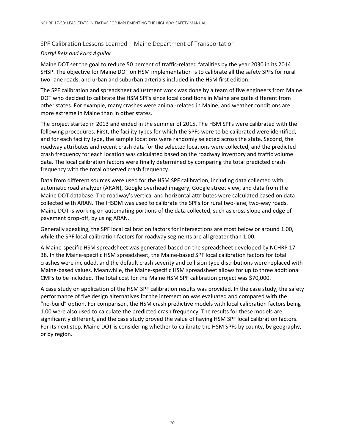#### SPF Calibration Lessons Learned – Maine Department of Transportation

#### *Darryl Belz and Kara Aguilar*

Maine DOT set the goal to reduce 50 percent of traffic-related fatalities by the year 2030 in its 2014 SHSP. The objective for Maine DOT on HSM implementation is to calibrate all the safety SPFs for rural two-lane roads, and urban and suburban arterials included in the HSM first edition.

The SPF calibration and spreadsheet adjustment work was done by a team of five engineers from Maine DOT who decided to calibrate the HSM SPFs since local conditions in Maine are quite different from other states. For example, many crashes were animal-related in Maine, and weather conditions are more extreme in Maine than in other states.

The project started in 2013 and ended in the summer of 2015. The HSM SPFs were calibrated with the following procedures. First, the facility types for which the SPFs were to be calibrated were identified, and for each facility type, the sample locations were randomly selected across the state. Second, the roadway attributes and recent crash data for the selected locations were collected, and the predicted crash frequency for each location was calculated based on the roadway inventory and traffic volume data. The local calibration factors were finally determined by comparing the total predicted crash frequency with the total observed crash frequency.

Data from different sources were used for the HSM SPF calibration, including data collected with automatic road analyzer (ARAN), Google overhead imagery, Google street view, and data from the Maine DOT database. The roadway's vertical and horizontal attributes were calculated based on data collected with ARAN. The IHSDM was used to calibrate the SPFs for rural two-lane, two-way roads. Maine DOT is working on automating portions of the data collected, such as cross slope and edge of pavement drop-off, by using ARAN.

Generally speaking, the SPF local calibration factors for intersections are most below or around 1.00, while the SPF local calibration factors for roadway segments are all greater than 1.00.

A Maine-specific HSM spreadsheet was generated based on the spreadsheet developed by NCHRP 17- 38. In the Maine-specific HSM spreadsheet, the Maine-based SPF local calibration factors for total crashes were included, and the default crash severity and collision type distributions were replaced with Maine-based values. Meanwhile, the Maine-specific HSM spreadsheet allows for up to three additional CMFs to be included. The total cost for the Maine HSM SPF calibration project was \$70,000.

A case study on application of the HSM SPF calibration results was provided. In the case study, the safety performance of five design alternatives for the intersection was evaluated and compared with the "no-build" option. For comparison, the HSM crash predictive models with local calibration factors being 1.00 were also used to calculate the predicted crash frequency. The results for these models are significantly different, and the case study proved the value of having HSM SPF local calibration factors. For its next step, Maine DOT is considering whether to calibrate the HSM SPFs by county, by geography, or by region.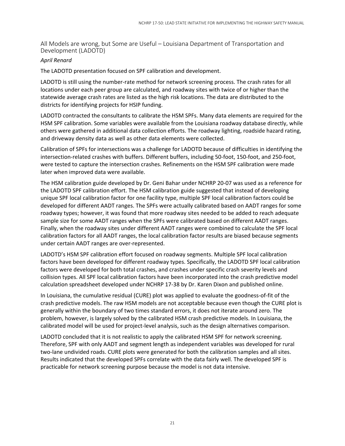All Models are wrong, but Some are Useful – Louisiana Department of Transportation and Development (LADOTD)

#### *April Renard*

The LADOTD presentation focused on SPF calibration and development.

LADOTD is still using the number-rate method for network screening process. The crash rates for all locations under each peer group are calculated, and roadway sites with twice of or higher than the statewide average crash rates are listed as the high risk locations. The data are distributed to the districts for identifying projects for HSIP funding.

LADOTD contracted the consultants to calibrate the HSM SPFs. Many data elements are required for the HSM SPF calibration. Some variables were available from the Louisiana roadway database directly, while others were gathered in additional data collection efforts. The roadway lighting, roadside hazard rating, and driveway density data as well as other data elements were collected.

Calibration of SPFs for intersections was a challenge for LADOTD because of difficulties in identifying the intersection-related crashes with buffers. Different buffers, including 50-foot, 150-foot, and 250-foot, were tested to capture the intersection crashes. Refinements on the HSM SPF calibration were made later when improved data were available.

The HSM calibration guide developed by Dr. Geni Bahar under NCHRP 20-07 was used as a reference for the LADOTD SPF calibration effort. The HSM calibration guide suggested that instead of developing unique SPF local calibration factor for one facility type, multiple SPF local calibration factors could be developed for different AADT ranges. The SPFs were actually calibrated based on AADT ranges for some roadway types; however, it was found that more roadway sites needed to be added to reach adequate sample size for some AADT ranges when the SPFs were calibrated based on different AADT ranges. Finally, when the roadway sites under different AADT ranges were combined to calculate the SPF local calibration factors for all AADT ranges, the local calibration factor results are biased because segments under certain AADT ranges are over-represented.

LADOTD's HSM SPF calibration effort focused on roadway segments. Multiple SPF local calibration factors have been developed for different roadway types. Specifically, the LADOTD SPF local calibration factors were developed for both total crashes, and crashes under specific crash severity levels and collision types. All SPF local calibration factors have been incorporated into the crash predictive model calculation spreadsheet developed under NCHRP 17-38 by Dr. Karen Dixon and published online.

In Louisiana, the cumulative residual (CURE) plot was applied to evaluate the goodness-of-fit of the crash predictive models. The raw HSM models are not acceptable because even though the CURE plot is generally within the boundary of two times standard errors, it does not iterate around zero. The problem, however, is largely solved by the calibrated HSM crash predictive models. In Louisiana, the calibrated model will be used for project-level analysis, such as the design alternatives comparison.

LADOTD concluded that it is not realistic to apply the calibrated HSM SPF for network screening. Therefore, SPF with only AADT and segment length as independent variables was developed for rural two-lane undivided roads. CURE plots were generated for both the calibration samples and all sites. Results indicated that the developed SPFs correlate with the data fairly well. The developed SPF is practicable for network screening purpose because the model is not data intensive.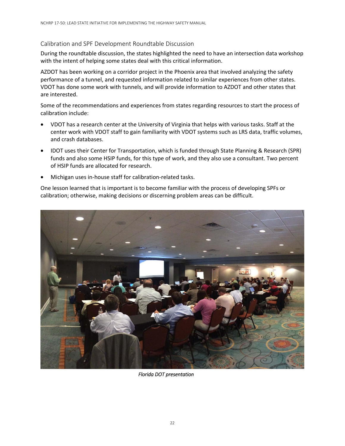#### Calibration and SPF Development Roundtable Discussion

During the roundtable discussion, the states highlighted the need to have an intersection data workshop with the intent of helping some states deal with this critical information.

AZDOT has been working on a corridor project in the Phoenix area that involved analyzing the safety performance of a tunnel, and requested information related to similar experiences from other states. VDOT has done some work with tunnels, and will provide information to AZDOT and other states that are interested.

Some of the recommendations and experiences from states regarding resources to start the process of calibration include:

- VDOT has a research center at the University of Virginia that helps with various tasks. Staff at the center work with VDOT staff to gain familiarity with VDOT systems such as LRS data, traffic volumes, and crash databases.
- IDOT uses their Center for Transportation, which is funded through State Planning & Research (SPR) funds and also some HSIP funds, for this type of work, and they also use a consultant. Two percent of HSIP funds are allocated for research.
- Michigan uses in-house staff for calibration-related tasks.

One lesson learned that is important is to become familiar with the process of developing SPFs or calibration; otherwise, making decisions or discerning problem areas can be difficult.



*Florida DOT presentation*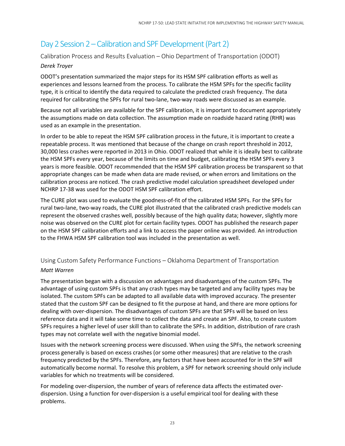### Day 2 Session 2 – Calibration and SPF Development (Part 2)

Calibration Process and Results Evaluation – Ohio Department of Transportation (ODOT)

#### *Derek Troyer*

ODOT's presentation summarized the major steps for its HSM SPF calibration efforts as well as experiences and lessons learned from the process. To calibrate the HSM SPFs for the specific facility type, it is critical to identify the data required to calculate the predicted crash frequency. The data required for calibrating the SPFs for rural two-lane, two-way roads were discussed as an example.

Because not all variables are available for the SPF calibration, it is important to document appropriately the assumptions made on data collection. The assumption made on roadside hazard rating (RHR) was used as an example in the presentation.

In order to be able to repeat the HSM SPF calibration process in the future, it is important to create a repeatable process. It was mentioned that because of the change on crash report threshold in 2012, 30,000 less crashes were reported in 2013 in Ohio. ODOT realized that while it is ideally best to calibrate the HSM SPFs every year, because of the limits on time and budget, calibrating the HSM SPFs every 3 years is more feasible. ODOT recommended that the HSM SPF calibration process be transparent so that appropriate changes can be made when data are made revised, or when errors and limitations on the calibration process are noticed. The crash predictive model calculation spreadsheet developed under NCHRP 17-38 was used for the ODOT HSM SPF calibration effort.

The CURE plot was used to evaluate the goodness-of-fit of the calibrated HSM SPFs. For the SPFs for rural two-lane, two-way roads, the CURE plot illustrated that the calibrated crash predictive models can represent the observed crashes well, possibly because of the high quality data; however, slightly more noise was observed on the CURE plot for certain facility types. ODOT has published the research paper on the HSM SPF calibration efforts and a link to access the paper online was provided. An introduction to the FHWA HSM SPF calibration tool was included in the presentation as well.

### Using Custom Safety Performance Functions – Oklahoma Department of Transportation

#### *Matt Warren*

The presentation began with a discussion on advantages and disadvantages of the custom SPFs. The advantage of using custom SPFs is that any crash types may be targeted and any facility types may be isolated. The custom SPFs can be adapted to all available data with improved accuracy. The presenter stated that the custom SPF can be designed to fit the purpose at hand, and there are more options for dealing with over-dispersion. The disadvantages of custom SPFs are that SPFs will be based on less reference data and it will take some time to collect the data and create an SPF. Also, to create custom SPFs requires a higher level of user skill than to calibrate the SPFs. In addition, distribution of rare crash types may not correlate well with the negative binomial model.

Issues with the network screening process were discussed. When using the SPFs, the network screening process generally is based on excess crashes (or some other measures) that are relative to the crash frequency predicted by the SPFs. Therefore, any factors that have been accounted for in the SPF will automatically become normal. To resolve this problem, a SPF for network screening should only include variables for which no treatments will be considered.

For modeling over-dispersion, the number of years of reference data affects the estimated overdispersion. Using a function for over-dispersion is a useful empirical tool for dealing with these problems.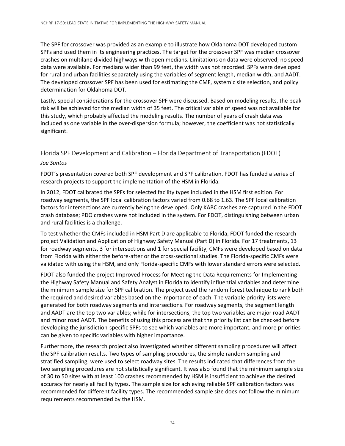The SPF for crossover was provided as an example to illustrate how Oklahoma DOT developed custom SPFs and used them in its engineering practices. The target for the crossover SPF was median crossover crashes on multilane divided highways with open medians. Limitations on data were observed; no speed data were available. For medians wider than 99 feet, the width was not recorded. SPFs were developed for rural and urban facilities separately using the variables of segment length, median width, and AADT. The developed crossover SPF has been used for estimating the CMF, systemic site selection, and policy determination for Oklahoma DOT.

Lastly, special considerations for the crossover SPF were discussed. Based on modeling results, the peak risk will be achieved for the median width of 35 feet. The critical variable of speed was not available for this study, which probably affected the modeling results. The number of years of crash data was included as one variable in the over-dispersion formula; however, the coefficient was not statistically significant.

#### Florida SPF Development and Calibration – Florida Department of Transportation (FDOT)

#### *Joe Santos*

FDOT's presentation covered both SPF development and SPF calibration. FDOT has funded a series of research projects to support the implementation of the HSM in Florida.

In 2012, FDOT calibrated the SPFs for selected facility types included in the HSM first edition. For roadway segments, the SPF local calibration factors varied from 0.68 to 1.63. The SPF local calibration factors for intersections are currently being the developed. Only KABC crashes are captured in the FDOT crash database; PDO crashes were not included in the system. For FDOT, distinguishing between urban and rural facilities is a challenge.

To test whether the CMFs included in HSM Part D are applicable to Florida, FDOT funded the research project Validation and Application of Highway Safety Manual (Part D) in Florida. For 17 treatments, 13 for roadway segments, 3 for intersections and 1 for special facility, CMFs were developed based on data from Florida with either the before-after or the cross-sectional studies. The Florida-specific CMFs were validated with using the HSM, and only Florida-specific CMFs with lower standard errors were selected.

FDOT also funded the project Improved Process for Meeting the Data Requirements for Implementing the Highway Safety Manual and Safety Analyst in Florida to identify influential variables and determine the minimum sample size for SPF calibration. The project used the random forest technique to rank both the required and desired variables based on the importance of each. The variable priority lists were generated for both roadway segments and intersections. For roadway segments, the segment length and AADT are the top two variables; while for intersections, the top two variables are major road AADT and minor road AADT. The benefits of using this process are that the priority list can be checked before developing the jurisdiction-specific SPFs to see which variables are more important, and more priorities can be given to specific variables with higher importance.

Furthermore, the research project also investigated whether different sampling procedures will affect the SPF calibration results. Two types of sampling procedures, the simple random sampling and stratified sampling, were used to select roadway sites. The results indicated that differences from the two sampling procedures are not statistically significant. It was also found that the minimum sample size of 30 to 50 sites with at least 100 crashes recommended by HSM is insufficient to achieve the desired accuracy for nearly all facility types. The sample size for achieving reliable SPF calibration factors was recommended for different facility types. The recommended sample size does not follow the minimum requirements recommended by the HSM.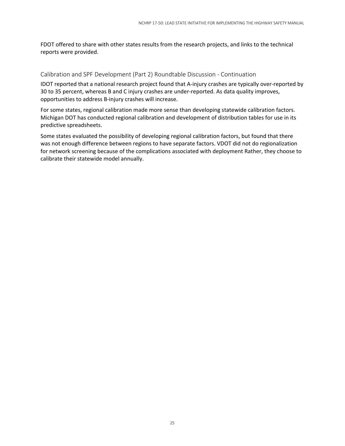FDOT offered to share with other states results from the research projects, and links to the technical reports were provided.

#### Calibration and SPF Development (Part 2) Roundtable Discussion - Continuation

IDOT reported that a national research project found that A-injury crashes are typically over-reported by 30 to 35 percent, whereas B and C injury crashes are under-reported. As data quality improves, opportunities to address B-injury crashes will increase.

For some states, regional calibration made more sense than developing statewide calibration factors. Michigan DOT has conducted regional calibration and development of distribution tables for use in its predictive spreadsheets.

Some states evaluated the possibility of developing regional calibration factors, but found that there was not enough difference between regions to have separate factors. VDOT did not do regionalization for network screening because of the complications associated with deployment Rather, they choose to calibrate their statewide model annually.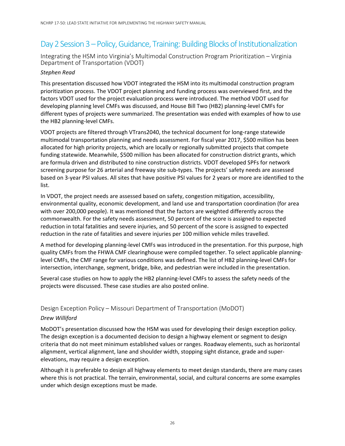### Day 2 Session 3 – Policy, Guidance, Training: Building Blocks of Institutionalization

Integrating the HSM into Virginia's Multimodal Construction Program Prioritization – Virginia Department of Transportation (VDOT)

#### *Stephen Read*

This presentation discussed how VDOT integrated the HSM into its multimodal construction program prioritization process. The VDOT project planning and funding process was overviewed first, and the factors VDOT used for the project evaluation process were introduced. The method VDOT used for developing planning level CMFs was discussed, and House Bill Two (HB2) planning-level CMFs for different types of projects were summarized. The presentation was ended with examples of how to use the HB2 planning-level CMFs.

VDOT projects are filtered through VTrans2040, the technical document for long-range statewide multimodal transportation planning and needs assessment. For fiscal year 2017, \$500 million has been allocated for high priority projects, which are locally or regionally submitted projects that compete funding statewide. Meanwhile, \$500 million has been allocated for construction district grants, which are formula driven and distributed to nine construction districts. VDOT developed SPFs for network screening purpose for 26 arterial and freeway site sub-types. The projects' safety needs are assessed based on 3-year PSI values. All sites that have positive PSI values for 2 years or more are identified to the list.

In VDOT, the project needs are assessed based on safety, congestion mitigation, accessibility, environmental quality, economic development, and land use and transportation coordination (for area with over 200,000 people). It was mentioned that the factors are weighted differently across the commonwealth. For the safety needs assessment, 50 percent of the score is assigned to expected reduction in total fatalities and severe injuries, and 50 percent of the score is assigned to expected reduction in the rate of fatalities and severe injuries per 100 million vehicle miles travelled.

A method for developing planning-level CMFs was introduced in the presentation. For this purpose, high quality CMFs from the FHWA CMF clearinghouse were compiled together. To select applicable planninglevel CMFs, the CMF range for various conditions was defined. The list of HB2 planning-level CMFs for intersection, interchange, segment, bridge, bike, and pedestrian were included in the presentation.

Several case studies on how to apply the HB2 planning-level CMFs to assess the safety needs of the projects were discussed. These case studies are also posted online.

#### Design Exception Policy – Missouri Department of Transportation (MoDOT)

#### *Drew Williford*

MoDOT's presentation discussed how the HSM was used for developing their design exception policy. The design exception is a documented decision to design a highway element or segment to design criteria that do not meet minimum established values or ranges. Roadway elements, such as horizontal alignment, vertical alignment, lane and shoulder width, stopping sight distance, grade and superelevations, may require a design exception.

Although it is preferable to design all highway elements to meet design standards, there are many cases where this is not practical. The terrain, environmental, social, and cultural concerns are some examples under which design exceptions must be made.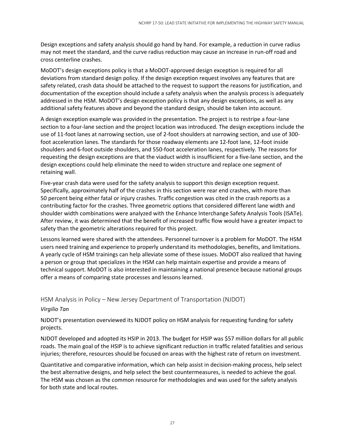Design exceptions and safety analysis should go hand by hand. For example, a reduction in curve radius may not meet the standard, and the curve radius reduction may cause an increase in run-off road and cross centerline crashes.

MoDOT's design exceptions policy is that a MoDOT-approved design exception is required for all deviations from standard design policy. If the design exception request involves any features that are safety related, crash data should be attached to the request to support the reasons for justification, and documentation of the exception should include a safety analysis when the analysis process is adequately addressed in the HSM. MoDOT's design exception policy is that any design exceptions, as well as any additional safety features above and beyond the standard design, should be taken into account.

A design exception example was provided in the presentation. The project is to restripe a four-lane section to a four-lane section and the project location was introduced. The design exceptions include the use of 11-foot lanes at narrowing section, use of 2-foot shoulders at narrowing section, and use of 300 foot acceleration lanes. The standards for those roadway elements are 12-foot lane, 12-foot inside shoulders and 6-foot outside shoulders, and 550-foot acceleration lanes, respectively. The reasons for requesting the design exceptions are that the viaduct width is insufficient for a five-lane section, and the design exceptions could help eliminate the need to widen structure and replace one segment of retaining wall.

Five-year crash data were used for the safety analysis to support this design exception request. Specifically, approximately half of the crashes in this section were rear end crashes, with more than 50 percent being either fatal or injury crashes. Traffic congestion was cited in the crash reports as a contributing factor for the crashes. Three geometric options that considered different lane width and shoulder width combinations were analyzed with the Enhance Interchange Safety Analysis Tools (ISATe). After review, it was determined that the benefit of increased traffic flow would have a greater impact to safety than the geometric alterations required for this project.

Lessons learned were shared with the attendees. Personnel turnover is a problem for MoDOT. The HSM users need training and experience to properly understand its methodologies, benefits, and limitations. A yearly cycle of HSM trainings can help alleviate some of these issues. MoDOT also realized that having a person or group that specializes in the HSM can help maintain expertise and provide a means of technical support. MoDOT is also interested in maintaining a national presence because national groups offer a means of comparing state processes and lessons learned.

HSM Analysis in Policy – New Jersey Department of Transportation (NJDOT)

#### *Virgilio Tan*

NJDOT's presentation overviewed its NJDOT policy on HSM analysis for requesting funding for safety projects.

NJDOT developed and adopted its HSIP in 2013. The budget for HSIP was \$57 million dollars for all public roads. The main goal of the HSIP is to achieve significant reduction in traffic related fatalities and serious injuries; therefore, resources should be focused on areas with the highest rate of return on investment.

Quantitative and comparative information, which can help assist in decision-making process, help select the best alternative designs, and help select the best countermeasures, is needed to achieve the goal. The HSM was chosen as the common resource for methodologies and was used for the safety analysis for both state and local routes.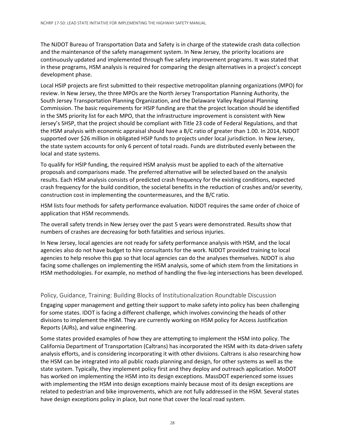The NJDOT Bureau of Transportation Data and Safety is in charge of the statewide crash data collection and the maintenance of the safety management system. In New Jersey, the priority locations are continuously updated and implemented through five safety improvement programs. It was stated that in these programs, HSM analysis is required for comparing the design alternatives in a project's concept development phase.

Local HSIP projects are first submitted to their respective metropolitan planning organizations (MPO) for review. In New Jersey, the three MPOs are the North Jersey Transportation Planning Authority, the South Jersey Transportation Planning Organization, and the Delaware Valley Regional Planning Commission. The basic requirements for HSIP funding are that the project location should be identified in the SMS priority list for each MPO, that the infrastructure improvement is consistent with New Jersey's SHSP, that the project should be compliant with Title 23 code of Federal Regulations, and that the HSM analysis with economic appraisal should have a B/C ratio of greater than 1.00. In 2014, NJDOT supported over \$26 million in obligated HSIP funds to projects under local jurisdiction. In New Jersey, the state system accounts for only 6 percent of total roads. Funds are distributed evenly between the local and state systems.

To qualify for HSIP funding, the required HSM analysis must be applied to each of the alternative proposals and comparisons made. The preferred alternative will be selected based on the analysis results. Each HSM analysis consists of predicted crash frequency for the existing conditions, expected crash frequency for the build condition, the societal benefits in the reduction of crashes and/or severity, construction cost in implementing the countermeasures, and the B/C ratio.

HSM lists four methods for safety performance evaluation. NJDOT requires the same order of choice of application that HSM recommends.

The overall safety trends in New Jersey over the past 5 years were demonstrated. Results show that numbers of crashes are decreasing for both fatalities and serious injuries.

In New Jersey, local agencies are not ready for safety performance analysis with HSM, and the local agencies also do not have budget to hire consultants for the work. NJDOT provided training to local agencies to help resolve this gap so that local agencies can do the analyses themselves. NJDOT is also facing some challenges on implementing the HSM analysis, some of which stem from the limitations in HSM methodologies. For example, no method of handling the five-leg intersections has been developed.

#### Policy, Guidance, Training: Building Blocks of Institutionalization Roundtable Discussion

Engaging upper management and getting their support to make safety into policy has been challenging for some states. IDOT is facing a different challenge, which involves convincing the heads of other divisions to implement the HSM. They are currently working on HSM policy for Access Justification Reports (AJRs), and value engineering.

Some states provided examples of how they are attempting to implement the HSM into policy. The California Department of Transportation (Caltrans) has incorporated the HSM with its data-driven safety analysis efforts, and is considering incorporating it with other divisions. Caltrans is also researching how the HSM can be integrated into all public roads planning and design, for other systems as well as the state system. Typically, they implement policy first and they deploy and outreach application. MoDOT has worked on implementing the HSM into its design exceptions. MassDOT experienced some issues with implementing the HSM into design exceptions mainly because most of its design exceptions are related to pedestrian and bike improvements, which are not fully addressed in the HSM. Several states have design exceptions policy in place, but none that cover the local road system.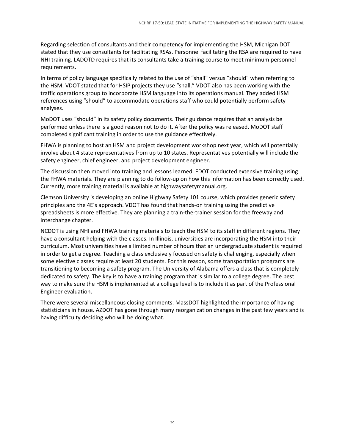Regarding selection of consultants and their competency for implementing the HSM, Michigan DOT stated that they use consultants for facilitating RSAs. Personnel facilitating the RSA are required to have NHI training. LADOTD requires that its consultants take a training course to meet minimum personnel requirements.

In terms of policy language specifically related to the use of "shall" versus "should" when referring to the HSM, VDOT stated that for HSIP projects they use "shall." VDOT also has been working with the traffic operations group to incorporate HSM language into its operations manual. They added HSM references using "should" to accommodate operations staff who could potentially perform safety analyses.

MoDOT uses "should" in its safety policy documents. Their guidance requires that an analysis be performed unless there is a good reason not to do it. After the policy was released, MoDOT staff completed significant training in order to use the guidance effectively.

FHWA is planning to host an HSM and project development workshop next year, which will potentially involve about 4 state representatives from up to 10 states. Representatives potentially will include the safety engineer, chief engineer, and project development engineer.

The discussion then moved into training and lessons learned. FDOT conducted extensive training using the FHWA materials. They are planning to do follow-up on how this information has been correctly used. Currently, more training material is available at highwaysafetymanual.org.

Clemson University is developing an online Highway Safety 101 course, which provides generic safety principles and the 4E's approach. VDOT has found that hands-on training using the predictive spreadsheets is more effective. They are planning a train-the-trainer session for the freeway and interchange chapter.

NCDOT is using NHI and FHWA training materials to teach the HSM to its staff in different regions. They have a consultant helping with the classes. In Illinois, universities are incorporating the HSM into their curriculum. Most universities have a limited number of hours that an undergraduate student is required in order to get a degree. Teaching a class exclusively focused on safety is challenging, especially when some elective classes require at least 20 students. For this reason, some transportation programs are transitioning to becoming a safety program. The University of Alabama offers a class that is completely dedicated to safety. The key is to have a training program that is similar to a college degree. The best way to make sure the HSM is implemented at a college level is to include it as part of the Professional Engineer evaluation.

There were several miscellaneous closing comments. MassDOT highlighted the importance of having statisticians in house. AZDOT has gone through many reorganization changes in the past few years and is having difficulty deciding who will be doing what.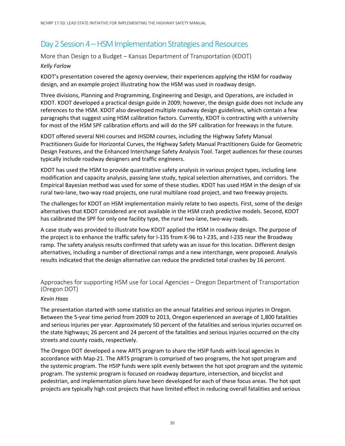### Day 2 Session 4 – HSM Implementation Strategies and Resources

More than Design to a Budget – Kansas Department of Transportation (KDOT)

#### *Kelly Farlow*

KDOT's presentation covered the agency overview, their experiences applying the HSM for roadway design, and an example project illustrating how the HSM was used in roadway design.

Three divisions, Planning and Programming, Engineering and Design, and Operations, are included in KDOT. KDOT developed a practical design guide in 2009; however, the design guide does not include any references to the HSM. KDOT also developed multiple roadway design guidelines, which contain a few paragraphs that suggest using HSM calibration factors. Currently, KDOT is contracting with a university for most of the HSM SPF calibration efforts and will do the SPF calibration for freeways in the future.

KDOT offered several NHI courses and IHSDM courses, including the Highway Safety Manual Practitioners Guide for Horizontal Curves, the Highway Safety Manual Practitioners Guide for Geometric Design Features, and the Enhanced Interchange Safety Analysis Tool. Target audiences for these courses typically include roadway designers and traffic engineers.

KDOT has used the HSM to provide quantitative safety analysis in various project types, including lane modification and capacity analysis, passing lane study, typical selection alternatives, and corridors. The Empirical Bayesian method was used for some of these studies. KDOT has used HSM in the design of six rural two-lane, two-way road projects, one rural multilane road project, and two freeway projects.

The challenges for KDOT on HSM implementation mainly relate to two aspects. First, some of the design alternatives that KDOT considered are not available in the HSM crash predictive models. Second, KDOT has calibrated the SPF for only one facility type, the rural two-lane, two-way roads.

A case study was provided to illustrate how KDOT applied the HSM in roadway design. The purpose of the project is to enhance the traffic safety for I-135 from K-96 to I-235, and I-235 near the Broadway ramp. The safety analysis results confirmed that safety was an issue for this location. Different design alternatives, including a number of directional ramps and a new interchange, were proposed. Analysis results indicated that the design alternative can reduce the predicted total crashes by 16 percent.

#### Approaches for supporting HSM use for Local Agencies – Oregon Department of Transportation (Oregon DOT)

#### *Kevin Haas*

The presentation started with some statistics on the annual fatalities and serious injuries in Oregon. Between the 5-year time period from 2009 to 2013, Oregon experienced an average of 1,800 fatalities and serious injuries per year. Approximately 50 percent of the fatalities and serious injuries occurred on the state highways; 26 percent and 24 percent of the fatalities and serious injuries occurred on the city streets and county roads, respectively.

The Oregon DOT developed a new ARTS program to share the HSIP funds with local agencies in accordance with Map-21. The ARTS program is comprised of two programs, the hot spot program and the systemic program. The HSIP funds were split evenly between the hot spot program and the systemic program. The systemic program is focused on roadway departure, intersection, and bicyclist and pedestrian, and implementation plans have been developed for each of these focus areas. The hot spot projects are typically high cost projects that have limited effect in reducing overall fatalities and serious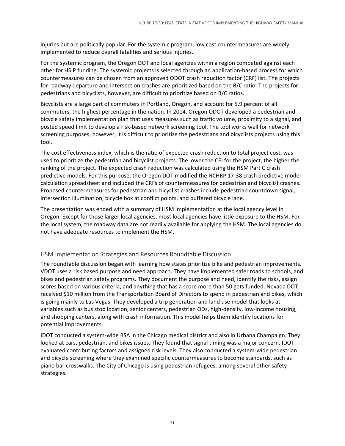injuries but are politically popular. For the systemic program, low cost countermeasures are widely implemented to reduce overall fatalities and serious injuries.

For the systemic program, the Oregon DOT and local agencies within a region competed against each other for HSIP funding. The systemic projects is selected through an application-based process for which countermeasures can be chosen from an approved ODOT crash reduction factor (CRF) list. The projects for roadway departure and intersection crashes are prioritized based on the B/C ratio. The projects for pedestrians and bicyclists, however, are difficult to prioritize based on B/C ratios.

Bicyclists are a large part of commuters in Portland, Oregon, and account for 5.9 percent of all commuters, the highest percentage in the nation. In 2014, Oregon ODOT developed a pedestrian and bicycle safety implementation plan that uses measures such as traffic volume, proximity to a signal, and posted speed limit to develop a risk-based network screening tool. The tool works well for network screening purposes; however, it is difficult to prioritize the pedestrians and bicyclists projects using this tool.

The cost effectiveness index, which is the ratio of expected crash reduction to total project cost, was used to prioritize the pedestrian and bicyclist projects. The lower the CEI for the project, the higher the ranking of the project. The expected crash reduction was calculated using the HSM Part C crash predictive models. For this purpose, the Oregon DOT modified the NCHRP 17-38 crash predictive model calculation spreadsheet and included the CRFs of countermeasures for pedestrian and bicyclist crashes. Proposed countermeasures for pedestrian and bicyclist crashes include pedestrian countdown signal, intersection illumination, bicycle box at conflict points, and buffered bicycle lane.

The presentation was ended with a summary of HSM implementation at the local agency level in Oregon. Except for those larger local agencies, most local agencies have little exposure to the HSM. For the local system, the roadway data are not readily available for applying the HSM. The local agencies do not have adequate resources to implement the HSM.

#### HSM Implementation Strategies and Resources Roundtable Discussion

The roundtable discussion began with learning how states prioritize bike and pedestrian improvements. VDOT uses a risk based purpose and need approach. They have implemented safer roads to schools, and bikes and pedestrian safety programs. They document the purpose and need, identify the risks, assign scores based on various criteria, and anything that has a score more than 50 gets funded. Nevada DOT received \$10 million from the Transportation Board of Directors to spend in pedestrian and bikes, which is going mainly to Las Vegas. They developed a trip generation and land use model that looks at variables such as bus stop location, senior centers, pedestrian ODs, high-density, low-income housing, and shopping centers, along with crash information. This model helps them identify locations for potential improvements.

IDOT conducted a system-wide RSA in the Chicago medical district and also in Urbana Champaign. They looked at cars, pedestrian, and bikes issues. They found that signal timing was a major concern. IDOT evaluated contributing factors and assigned risk levels. They also conducted a system-wide pedestrian and bicycle screening where they examined specific countermeasures to become standards, such as piano bar crosswalks. The City of Chicago is using pedestrian refugees, among several other safety strategies.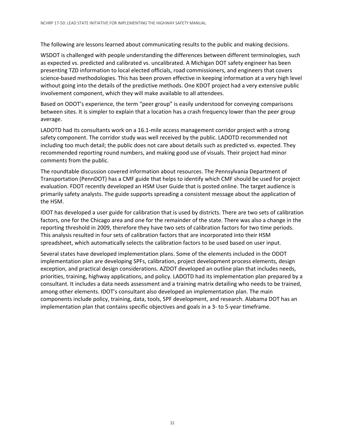The following are lessons learned about communicating results to the public and making decisions.

WSDOT is challenged with people understanding the differences between different terminologies, such as expected vs. predicted and calibrated vs. uncalibrated. A Michigan DOT safety engineer has been presenting TZD information to local elected officials, road commissioners, and engineers that covers science-based methodologies. This has been proven effective in keeping information at a very high level without going into the details of the predictive methods. One KDOT project had a very extensive public involvement component, which they will make available to all attendees.

Based on ODOT's experience, the term "peer group" is easily understood for conveying comparisons between sites. It is simpler to explain that a location has a crash frequency lower than the peer group average.

LADOTD had its consultants work on a 16.1-mile access management corridor project with a strong safety component. The corridor study was well received by the public. LADOTD recommended not including too much detail; the public does not care about details such as predicted vs. expected. They recommended reporting round numbers, and making good use of visuals. Their project had minor comments from the public.

The roundtable discussion covered information about resources. The Pennsylvania Department of Transportation (PennDOT) has a CMF guide that helps to identify which CMF should be used for project evaluation. FDOT recently developed an HSM User Guide that is posted online. The target audience is primarily safety analysts. The guide supports spreading a consistent message about the application of the HSM.

IDOT has developed a user guide for calibration that is used by districts. There are two sets of calibration factors, one for the Chicago area and one for the remainder of the state. There was also a change in the reporting threshold in 2009, therefore they have two sets of calibration factors for two time periods. This analysis resulted in four sets of calibration factors that are incorporated into their HSM spreadsheet, which automatically selects the calibration factors to be used based on user input.

Several states have developed implementation plans. Some of the elements included in the ODOT implementation plan are developing SPFs, calibration, project development process elements, design exception, and practical design considerations. AZDOT developed an outline plan that includes needs, priorities, training, highway applications, and policy. LADOTD had its implementation plan prepared by a consultant. It includes a data needs assessment and a training matrix detailing who needs to be trained, among other elements. IDOT's consultant also developed an implementation plan. The main components include policy, training, data, tools, SPF development, and research. Alabama DOT has an implementation plan that contains specific objectives and goals in a 3- to 5-year timeframe.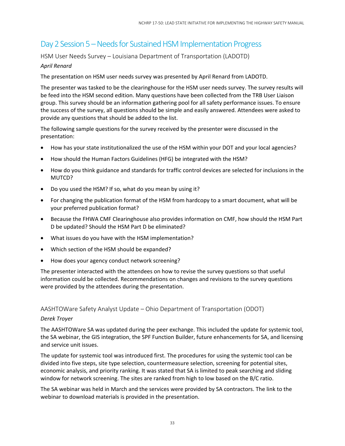### Day 2 Session 5 – Needs for Sustained HSM Implementation Progress

HSM User Needs Survey – Louisiana Department of Transportation (LADOTD)

#### *April Renard*

The presentation on HSM user needs survey was presented by April Renard from LADOTD.

The presenter was tasked to be the clearinghouse for the HSM user needs survey. The survey results will be feed into the HSM second edition. Many questions have been collected from the TRB User Liaison group. This survey should be an information gathering pool for all safety performance issues. To ensure the success of the survey, all questions should be simple and easily answered. Attendees were asked to provide any questions that should be added to the list.

The following sample questions for the survey received by the presenter were discussed in the presentation:

- How has your state institutionalized the use of the HSM within your DOT and your local agencies?
- How should the Human Factors Guidelines (HFG) be integrated with the HSM?
- How do you think guidance and standards for traffic control devices are selected for inclusions in the MUTCD?
- Do you used the HSM? If so, what do you mean by using it?
- For changing the publication format of the HSM from hardcopy to a smart document, what will be your preferred publication format?
- Because the FHWA CMF Clearinghouse also provides information on CMF, how should the HSM Part D be updated? Should the HSM Part D be eliminated?
- What issues do you have with the HSM implementation?
- Which section of the HSM should be expanded?
- How does your agency conduct network screening?

The presenter interacted with the attendees on how to revise the survey questions so that useful information could be collected. Recommendations on changes and revisions to the survey questions were provided by the attendees during the presentation.

AASHTOWare Safety Analyst Update – Ohio Department of Transportation (ODOT)

#### *Derek Troyer*

The AASHTOWare SA was updated during the peer exchange. This included the update for systemic tool, the SA webinar, the GIS integration, the SPF Function Builder, future enhancements for SA, and licensing and service unit issues.

The update for systemic tool was introduced first. The procedures for using the systemic tool can be divided into five steps, site type selection, countermeasure selection, screening for potential sites, economic analysis, and priority ranking. It was stated that SA is limited to peak searching and sliding window for network screening. The sites are ranked from high to low based on the B/C ratio.

The SA webinar was held in March and the services were provided by SA contractors. The link to the webinar to download materials is provided in the presentation.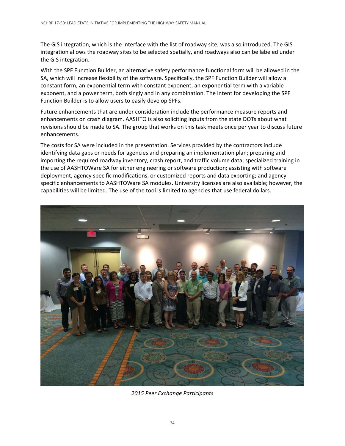The GIS integration, which is the interface with the list of roadway site, was also introduced. The GIS integration allows the roadway sites to be selected spatially, and roadways also can be labeled under the GIS integration.

With the SPF Function Builder, an alternative safety performance functional form will be allowed in the SA, which will increase flexibility of the software. Specifically, the SPF Function Builder will allow a constant form, an exponential term with constant exponent, an exponential term with a variable exponent, and a power term, both singly and in any combination. The intent for developing the SPF Function Builder is to allow users to easily develop SPFs.

Future enhancements that are under consideration include the performance measure reports and enhancements on crash diagram. AASHTO is also soliciting inputs from the state DOTs about what revisions should be made to SA. The group that works on this task meets once per year to discuss future enhancements.

The costs for SA were included in the presentation. Services provided by the contractors include identifying data gaps or needs for agencies and preparing an implementation plan; preparing and importing the required roadway inventory, crash report, and traffic volume data; specialized training in the use of AASHTOWare SA for either engineering or software production; assisting with software deployment, agency specific modifications, or customized reports and data exporting; and agency specific enhancements to AASHTOWare SA modules. University licenses are also available; however, the capabilities will be limited. The use of the tool is limited to agencies that use federal dollars.



*2015 Peer Exchange Participants*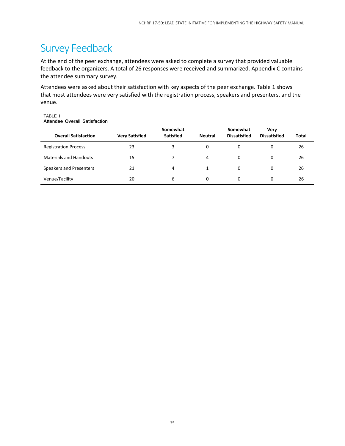### Survey Feedback

At the end of the peer exchange, attendees were asked to complete a survey that provided valuable feedback to the organizers. A total of 26 responses were received and summarized. Appendix C contains the attendee summary survey.

Attendees were asked about their satisfaction with key aspects of the peer exchange. Table 1 shows that most attendees were very satisfied with the registration process, speakers and presenters, and the venue.

TABLE 1 **Attendee Overall Satisfaction** 

| <b>Overall Satisfaction</b>   | <b>Very Satisfied</b> | Somewhat<br><b>Satisfied</b> | <b>Neutral</b> | Somewhat<br><b>Dissatisfied</b> | <b>Verv</b><br><b>Dissatisfied</b> | Total |
|-------------------------------|-----------------------|------------------------------|----------------|---------------------------------|------------------------------------|-------|
| <b>Registration Process</b>   | 23                    | 3                            | 0              | 0                               | 0                                  | 26    |
| <b>Materials and Handouts</b> | 15                    | 7                            | 4              | 0                               | 0                                  | 26    |
| Speakers and Presenters       | 21                    | 4                            |                | 0                               | 0                                  | 26    |
| Venue/Facility                | 20                    | 6                            | 0              | 0                               | 0                                  | 26    |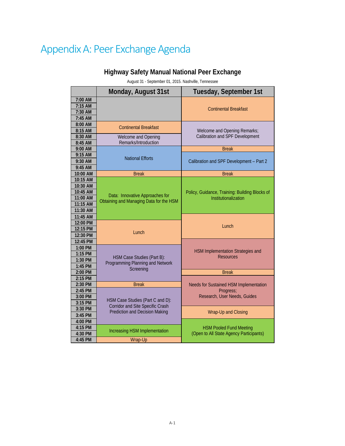## Appendix A: Peer Exchange Agenda

### **Highway Safety Manual National Peer Exchange**

August 31 - September 01, 2015. Nashville, Tennessee

|           | Monday, August 31st                                            | Tuesday, September 1st                                |
|-----------|----------------------------------------------------------------|-------------------------------------------------------|
| 7:00 AM   |                                                                |                                                       |
| 7:15 AM   |                                                                | <b>Continental Breakfast</b>                          |
| 7:30 AM   |                                                                |                                                       |
| 7:45 AM   |                                                                |                                                       |
| 8:00 AM   | <b>Continental Breakfast</b>                                   |                                                       |
| 8:15 AM   |                                                                | Welcome and Opening Remarks;                          |
| 8:30 AM   | Welcome and Opening                                            | Calibration and SPF Development                       |
| 8:45 AM   | Remarks/Introduction                                           |                                                       |
| 9:00 AM   |                                                                | <b>Break</b>                                          |
| 9:15 AM   | <b>National Efforts</b>                                        |                                                       |
| 9:30 AM   |                                                                | Calibration and SPF Development - Part 2              |
| 9:45 AM   |                                                                |                                                       |
| 10:00 AM  | <b>Break</b>                                                   | <b>Break</b>                                          |
| 10:15 AM  |                                                                |                                                       |
| 10:30 AM  |                                                                |                                                       |
| 10:45 AM  | Data: Innovative Approaches for                                | Policy, Guidance, Training: Building Blocks of        |
| 11:00 AM  | Obtaining and Managing Data for the HSM                        | Institutionalization                                  |
| 11:15 AM  |                                                                |                                                       |
| 11:30 AM  |                                                                |                                                       |
| 11:45 AM  |                                                                |                                                       |
| 12:00 PM  |                                                                | Lunch                                                 |
| 12:15 PM  | Lunch                                                          |                                                       |
| 12:30 PM  |                                                                |                                                       |
| 12:45 PM  |                                                                |                                                       |
| $1:00$ PM |                                                                |                                                       |
| 1:15 PM   |                                                                | HSM Implementation Strategies and<br><b>Resources</b> |
| $1:30$ PM | HSM Case Studies (Part B):<br>Programming Planning and Network |                                                       |
| 1:45 PM   | Screening                                                      |                                                       |
| 2:00 PM   |                                                                | <b>Break</b>                                          |
| 2:15 PM   |                                                                |                                                       |
| 2:30 PM   | <b>Break</b>                                                   | Needs for Sustained HSM Implementation                |
| 2:45 PM   |                                                                | Progress:                                             |
| 3:00 PM   | HSM Case Studies (Part C and D):                               | Research, User Needs, Guides                          |
| 3:15 PM   | <b>Corridor and Site Specific Crash</b>                        |                                                       |
| 3:30 PM   | <b>Prediction and Decision Making</b>                          | Wrap-Up and Closing                                   |
| 3:45 PM   |                                                                |                                                       |
| 4:00 PM   |                                                                |                                                       |
| 4:15 PM   | Increasing HSM Implementation                                  | <b>HSM Pooled Fund Meeting</b>                        |
| 4:30 PM   |                                                                | (Open to All State Agency Participants)               |
| 4:45 PM   | Wrap-Up                                                        |                                                       |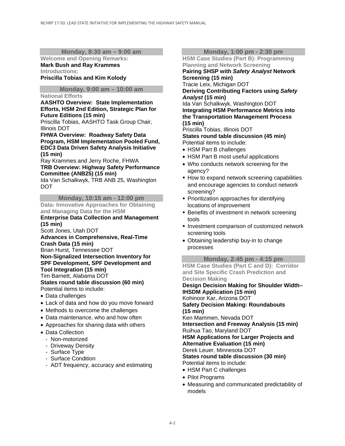#### **Monday, 8:30 am – 9:00 am**

#### **Welcome and Opening Remarks: Mark Bush and Ray Krammes Introductions:**

**Priscilla Tobias and Kim Kolody** 

#### **Monday, 9:00 am – 10:00 am**

#### **National Efforts**

**AASHTO Overview: State Implementation Efforts, HSM 2nd Edition, Strategic Plan for Future Editions (15 min)** 

Priscilla Tobias, AASHTO Task Group Chair, Illinois DOT

**FHWA Overview: Roadway Safety Data Program, HSM Implementation Pooled Fund, EDC3 Data Driven Safety Analysis Initiative (15 min)** 

Ray Krammes and Jerry Roche, FHWA **TRB Overview: Highway Safety Performance Committee (ANB25) (15 min)** 

Ida Van Schalkwyk, TRB ANB 25, Washington DOT

**Monday, 10:15 am - 12:00 pm Data: Innovative Approaches for Obtaining and Managing Data for the HSM** 

#### **Enterprise Data Collection and Management (15 min)**

Scott Jones, Utah DOT

**Advances in Comprehensive, Real-Time Crash Data (15 min)**  Brian Hurst, Tennessee DOT

**Non-Signalized Intersection Inventory for SPF Development, SPF Development and Tool Integration (15 min)** 

Tim Barnett, Alabama DOT

**States round table discussion (60 min)**  Potential items to include:

- Data challenges
- Lack of data and how do you move forward
- Methods to overcome the challenges
- Data maintenance, who and how often
- Approaches for sharing data with others
- Data Collection
	- Non-motorized
	- Driveway Density
	- Surface Type
	- Surface Condition
	- ADT frequency, accuracy and estimating

#### **Monday, 1:00 pm - 2:30 pm**

**HSM Case Studies (Part B): Programming Planning and Network Screening** 

**Pairing SHSP with** *Safety Analyst* **Network Screening (15 min)** 

Tracie Leix, Michigan DOT

**Deriving Contributing Factors using** *Safety Analyst* **(15 min)** 

Ida Van Schalkwyk, Washington DOT **Integrating HSM Performance Metrics into the Transportation Management Process (15 min)** 

Priscilla Tobias, Illinois DOT **States round table discussion (45 min)**  Potential items to include:

- HSM Part B challenges
- HSM Part B most useful applications
- Who conducts network screening for the agency?
- **How to expand network screening capabilities** and encourage agencies to conduct network screening?
- **Prioritization approaches for identifying** locations of improvement
- **Benefits of investment in network screening** tools
- **Investment comparison of customized network** screening tools
- Obtaining leadership buy-in to change processes

**Monday, 2:45 pm - 4:15 pm** 

**HSM Case Studies (Part C and D): Corridor and Site Specific Crash Prediction and Decision Making** 

**Design Decision Making for Shoulder Width– IHSDM Application (15 min)**  Kohinoor Kar, Arizona DOT **Safety Decision Making: Roundabouts (15 min)**  Ken Mammen, Nevada DOT **Intersection and Freeway Analysis (15 min)**  Ruihua Tao, Maryland DOT **HSM Applications for Larger Projects and Alternative Evaluation (15 min)**  Derek Leuer, Minnesota DOT **States round table discussion (30 min)** 

Potential items to include:

- HSM Part C challenges
- Pilot Programs
- Measuring and communicated predictability of models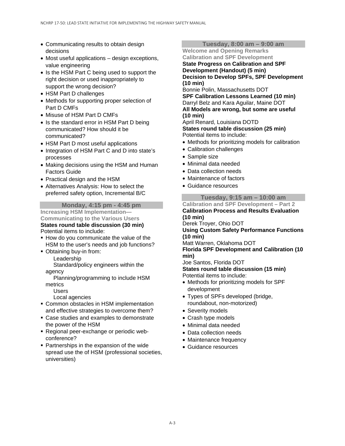- Communicating results to obtain design decisions
- Most useful applications design exceptions, value engineering
- Is the HSM Part C being used to support the right decision or used inappropriately to support the wrong decision?
- HSM Part D challenges
- Methods for supporting proper selection of Part D CMFs
- Misuse of HSM Part D CMFs
- Is the standard error in HSM Part D being communicated? How should it be communicated?
- HSM Part D most useful applications
- Integration of HSM Part C and D into state's processes
- Making decisions using the HSM and Human Factors Guide
- Practical design and the HSM
- Alternatives Analysis: How to select the preferred safety option, Incremental B/C

#### **Monday, 4:15 pm - 4:45 pm**

**Increasing HSM Implementation— Communicating to the Various Users States round table discussion (30 min)**  Potential items to include:

- **How do you communicate the value of the** HSM to the user's needs and job functions?
- Obtaining buy-in from:

Leadership

 Standard/policy engineers within the agency

 Planning/programming to include HSM metrics

Users

#### Local agencies

- **EXECOMMON OBSTACLES IN HSM implementation** and effective strategies to overcome them?
- Case studies and examples to demonstrate the power of the HSM
- Regional peer-exchange or periodic webconference?
- **Partnerships in the expansion of the wide** spread use the of HSM (professional societies, universities)

#### **Tuesday, 8:00 am – 9:00 am**

**Welcome and Opening Remarks Calibration and SPF Development** 

**State Progress on Calibration and SPF Development (Handout) (5 min) Decision to Develop SPFs, SPF Development (10 min)** 

Bonnie Polin, Massachusetts DOT

**SPF Calibration Lessons Learned (10 min)**  Darryl Belz and Kara Aguilar, Maine DOT **All Models are wrong, but some are useful (10 min)** 

April Renard, Louisiana DOTD **States round table discussion (25 min)**  Potential items to include:

- Methods for prioritizing models for calibration
- Calibration challenges
- Sample size
- Minimal data needed
- Data collection needs
- Maintenance of factors
- Guidance resources

**Tuesday, 9:15 am – 10:00 am** 

**Calibration and SPF Development – Part 2** 

**Calibration Process and Results Evaluation (10 min)** 

Derek Troyer, Ohio DOT

**Using Custom Safety Performance Functions (10 min)** 

Matt Warren, Oklahoma DOT

**Florida SPF Development and Calibration (10 min)** 

Joe Santos, Florida DOT

**States round table discussion (15 min)**  Potential items to include:

- Methods for prioritizing models for SPF development
- Types of SPFs developed (bridge, roundabout, non-motorized)
- Severity models
- Crash type models
- Minimal data needed
- Data collection needs
- Maintenance frequency
- Guidance resources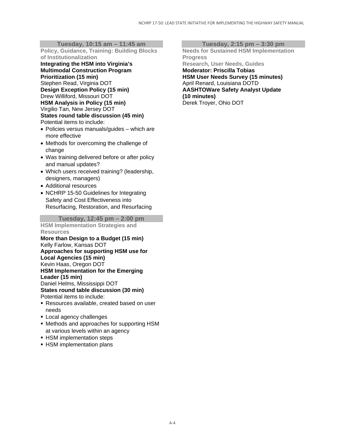**Tuesday, 10:15 am – 11:45 am** 

**Policy, Guidance, Training: Building Blocks of Institutionalization** 

**Integrating the HSM into Virginia's Multimodal Construction Program Prioritization (15 min)**  Stephen Read, Virginia DOT **Design Exception Policy (15 min)**  Drew Williford, Missouri DOT **HSM Analysis in Policy (15 min)**  Virgilio Tan, New Jersey DOT **States round table discussion (45 min)**  Potential items to include:

- Policies versus manuals/guides which are more effective
- Methods for overcoming the challenge of change
- Was training delivered before or after policy and manual updates?
- Which users received training? (leadership, designers, managers)
- Additional resources
- NCHRP 15-50 Guidelines for Integrating Safety and Cost Effectiveness into Resurfacing, Restoration, and Resurfacing

**Tuesday, 12:45 pm – 2:00 pm** 

**HSM Implementation Strategies and Resources** 

**More than Design to a Budget (15 min)**  Kelly Farlow, Kansas DOT **Approaches for supporting HSM use for Local Agencies (15 min)**  Kevin Haas, Oregon DOT **HSM Implementation for the Emerging Leader (15 min)**  Daniel Helms, Mississippi DOT **States round table discussion (30 min)**  Potential items to include:

- Resources available, created based on user needs
- **Local agency challenges**
- Methods and approaches for supporting HSM at various levels within an agency
- **HSM implementation steps**
- **HSM implementation plans**

**Tuesday, 2:15 pm – 3:30 pm** 

**Needs for Sustained HSM Implementation Progress Research, User Needs, Guides Moderator: Priscilla Tobias HSM User Needs Survey (15 minutes)**  April Renard, Louisiana DOTD **AASHTOWare Safety Analyst Update (10 minutes)**  Derek Troyer, Ohio DOT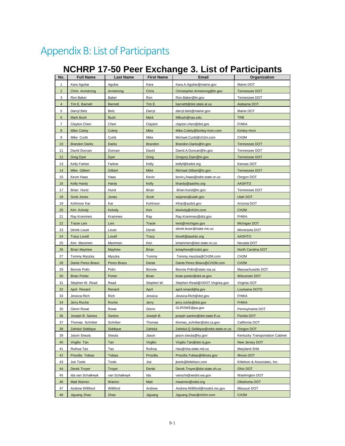## Appendix B: List of Participants

| No.                     | <b>Full Name</b>     | <b>Last Name</b> | <b>First Name</b> | Email                               | Organization                    |
|-------------------------|----------------------|------------------|-------------------|-------------------------------------|---------------------------------|
| $\mathbf{1}$            | Kara Aguliar         | Aguliar          | Kara              | Kara.A.Aguilar@maine.gov            | Maine DOT                       |
| $\overline{2}$          | Chris Armstrong      | Armstrong        | Chris             | Christopher.Armstrong@tn.gov        | <b>Tennessee DOT</b>            |
| 3                       | Ron Baker            | Baker            | Ron               | Ron.Baker@tn.gov                    | Tennessee DOT                   |
| $\overline{\mathbf{4}}$ | Tim E. Barnett       | <b>Barnett</b>   | Tim E.            | barnettt@dot.state.al.us            | Alabama DOT                     |
| 5                       | Darryl Belz          | Belz             | Darryl            | darryl.belz@maine.gov               | Maine DOT                       |
| $\,6$                   | Mark Bush            | <b>Bush</b>      | Mark              | MBush@nas.edu                       | <b>TRB</b>                      |
| $\overline{7}$          | Clayton Chen         | Chen             | Clayton           | clayton.chen@dot.gov                | <b>FHWA</b>                     |
| 8                       | <b>Mike Colety</b>   | Colety           | Mike              | Mike.Colety@kimley-horn.com         | Kimlev-Horn                     |
| 9                       | Mike Curtit          | Curtit           | Mike              | Michael.Curtit@ch2m.com             | CH <sub>2</sub> M               |
| 10                      | <b>Brandon Darks</b> | <b>Darks</b>     | <b>Brandon</b>    | Brandon.Darks@tn.gov                | Tennessee DOT                   |
| 11                      | David Duncan         | Duncan           | David             | David.A.Duncan@tn.gov               | Tennessee DOT                   |
| 12                      | <b>Greg Dyer</b>     | Dyer             | Greg              | Gregory.Dyer@tn.gov                 | Tennessee DOT                   |
| 13                      | <b>Kelly Farlow</b>  | Farlow           | Kelly             | kellyf@ksdot.org                    | Kansas DOT                      |
| 14                      | Mike Gilbert         | Gilbert          | Mike              | Michael.Gilbert@tn.gov              | Tennessee DOT                   |
| 15                      | Kevin Haas           | Haas             | Kevin             | kevin.j.haas@odot.state.or.us       | Oregon DOT                      |
| 16                      | <b>Kelly Hardy</b>   | Hardy            | Kelly             | khardy@aashto.org                   | <b>AASHTO</b>                   |
| 17                      | <b>Brian Hurst</b>   | Hurst            | Brian             | Brian.hurst@tn.gov                  | Tennessee DOT                   |
| 18                      | <b>Scott Jones</b>   | Jones            | <b>Scott</b>      | wsjones@utah.gov                    | Utah DOT                        |
| 19                      | Kohinoor Kar         | Kar              | Kohinoor          | KKar@azdot.gov                      | Arizona DOT                     |
| 20                      | Kim Kolody           | Kolody           | Kim               | kkolody@ch2m.com                    | CH <sub>2</sub> M               |
| 21                      | Ray Krammes          | Krammes          | Ray               | Ray.Krammes@dot.gov                 | <b>FHWA</b>                     |
| 22                      | <b>Tracie Leix</b>   | Leix             | Tracie            | leixt@michigan.gov                  | Michigan DOT                    |
| 23                      | Derek Leuer          | Leuer            | Derek             | derek.leuer@state.mn.us             | Minnesota DOT                   |
| 24                      | <b>Tracy Lovell</b>  | Lovell           | Tracy             | tlovell@aashto.org                  | <b>AASHTO</b>                   |
| 25                      | Ken Mammen           | Mammen           | Ken               | kmammen@dot.state.nv.us             | Nevada DOT                      |
| 26                      | <b>Brian Mayhew</b>  | Mayhew           | <b>Brian</b>      | bmayhew@ncdot.gov                   | North Carolina DOT              |
| 27                      | Tommy Myszka         | Myszka           | Tommy             | Tommy.myszka@CH2M.com               | CH <sub>2</sub> M               |
| 28                      | Dante Perez-Bravo    | Perez-Bravo      | Dante             | Dante.Perez-Bravo@CH2M.com          | CH <sub>2</sub> M               |
| 29                      | Bonnie Polin         | Polin            | Bonnie            | Bonnie.Polin@state.ma.us            | Massachusetts DOT               |
| 30                      | <b>Brian Porter</b>  | Porter           | <b>Brian</b>      | brian.porter@dot.wi.gov             | <b>Wisconsin DOT</b>            |
| 31                      | Stephen W. Read      | Read             | Stephen W.        | Stephen.Read@VDOT.Virginia.gov      | Virginia DOT                    |
| 32                      | April Renard         | Renard           | April             | april.renard@la.gov                 | Louisiana DOTD                  |
| 33                      | Jessica Rich         | Rich             | Jessica           | Jessica.Rich@dot.gov                | <b>FHWA</b>                     |
| 34                      | Jerry Roche          | Roche            | Jerry             | jerry.roche@dot.gov                 | <b>FHWA</b>                     |
| 35                      | Glenn Rowe           | Rowe             | Glenn             | GLROWE@pa.gov                       | Pennsylvania DOT                |
| 36                      | Joseph B. Santos     | Santos           | Joseph B.         | joseph.santos@dot.state.fl.us       | Florida DOT                     |
| 37                      | Thomas Schriber      | Schriber         | Thomas            | thomas_schriber@dot.ca.gov          | California DOT                  |
| 38                      | Zahidul Siddique     | Siddique         | Zahidul           | Zahidul.Q.Siddique@odot.state.or.us | Oregon DOT                      |
| 39                      | Jason Siwula         | Siwula           | Jason             | jason.siwula@ky.gov                 | Kentucky Transportation Cabinet |
| 40                      | Virgilio Tan         | Tan              | Virgilio          | Virgilio.Tan@dot.nj.gov             | New Jersey DOT                  |
| 41                      | Ruihua Tao           | Tao              | Ruihua            | rtao@sha.state.md.us                | Maryland SHA                    |
| 42                      | Priscilla Tobias     | <b>Tobias</b>    | Priscilla         | Priscilla.Tobias@illinois.gov       | <b>Illinois DOT</b>             |
| 43                      | Joe Toole            | Toole            | Joe               | jtoole@kittelson.com                | Kittelson & Associates, Inc.    |
| 44                      | <b>Derek Troyer</b>  | <b>Troyer</b>    | Derek             | Derek.Troyer@dot.state.oh.us        | Ohio DOT                        |
| 45                      | Ida van Schalkwyk    | van Schalkwyk    | Ida               | vanschi@wsdot.wa.gov                | Washington DOT                  |
| 46                      | Matt Warren          | Warren           | Matt              | mwarren@odot.org                    | Oklahoma DOT                    |
| 47                      | Andrew Williford     | Williford        | Andrew            | Andrew.Williford@modot.mo.gov       | Missouri DOT                    |
| 48                      | Jiguang Zhao         | Zhao             | Jiguang           | Jiguang.Zhao@ch2m.com               | CH <sub>2</sub> M               |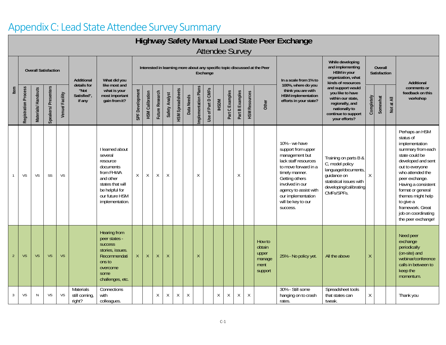### Appendix C: Lead State Attendee Survey Summary

### **Highway Safety Manual Lead State Peer Exchange** Attendee Survey

|                |                      | <b>Overall Satisfaction</b> |                     |                | <b>Additional</b><br>details for<br>like most and<br>"Not<br>what is your | What did you                                                                                                                                             |                 |                        |                 |                |                         |             |                      | Exchange              |               |                 |                 |                      | Interested in learning more about any specific topic discussed at the Peer | In a scale from 1% to                                                                                                                                                                                                                         | While developing<br>and implementing<br>HSM in your<br>organization, what<br>kinds of resources                                                   |            | <b>Overall</b><br>Satisfaction |  | Additional                                                                                                                                                                                                                                                                                                         |
|----------------|----------------------|-----------------------------|---------------------|----------------|---------------------------------------------------------------------------|----------------------------------------------------------------------------------------------------------------------------------------------------------|-----------------|------------------------|-----------------|----------------|-------------------------|-------------|----------------------|-----------------------|---------------|-----------------|-----------------|----------------------|----------------------------------------------------------------------------|-----------------------------------------------------------------------------------------------------------------------------------------------------------------------------------------------------------------------------------------------|---------------------------------------------------------------------------------------------------------------------------------------------------|------------|--------------------------------|--|--------------------------------------------------------------------------------------------------------------------------------------------------------------------------------------------------------------------------------------------------------------------------------------------------------------------|
| Item           | Registration Process | Materials/Handouts          | Speakers/Presenters | Venue/Facility | Satisfied",<br>if any                                                     | most important<br>gain from it?                                                                                                                          | SPF Development | <b>HSM Calibration</b> | Future Research | Safety Analyst | <b>HSM Spreadsheets</b> | Data Needs  | Implementation Plans | of Part D CMFs<br>Use | <b>INCSHI</b> | Part C Examples | Part B Examples | <b>HSM Resources</b> | Other                                                                      | 100%, where do you<br>think you are with<br><b>HSM</b> implementation<br>efforts in your state?                                                                                                                                               | and support would<br>you like to have<br>within our state,<br>regionally, and<br>nationally to<br>continue to support<br>your efforts?            | Completely | Somewhat<br>Not at All         |  | comments or<br>feedback on this<br>workshop                                                                                                                                                                                                                                                                        |
|                | VS                   | VS                          | SS                  | VS             |                                                                           | I learned about<br>several<br>resource<br>documents<br>from FHWA<br>and other<br>states that will<br>be helpful for<br>our future HSM<br>implementation. | $\mathsf{X}$    | Χ                      | Χ               | Χ              |                         |             | $\chi$               |                       |               |                 | X               |                      |                                                                            | 10% - we have<br>support from upper<br>management but<br>lack staff resources<br>to move forward in a<br>timely manner.<br>Getting others<br>involved in our<br>agency to assist with<br>our implementation<br>will be key to our<br>success. | Training on parts B &<br>C, model policy<br>language/documents,<br>guidance on<br>statistical issues with<br>developing/calibrating<br>CMFs/SPFs. | $\sf X$    |                                |  | Perhaps an HSM<br>status of<br>implementation<br>summary from each<br>state could be<br>developed and sent<br>out to everyone<br>who attended the<br>peer exchange.<br>Having a consistent<br>format or general<br>themes might help<br>to give a<br>framework. Great<br>job on coordinating<br>the peer exchange! |
| $\overline{2}$ | <b>VS</b>            | VS                          | <b>VS</b>           | <b>VS</b>      |                                                                           | <b>Hearing from</b><br>peer states -<br><b>SUCCESS</b><br>stories, issues.<br>Recommendati<br>ons to<br>overcome<br>some<br>challenges, etc.             | $\mathsf{X}$    | $\mathsf{X}$           | X               | $\mathsf{X}$   |                         |             | $\chi$               |                       |               |                 |                 |                      | How to<br>obtain<br>upper<br>manage<br>ment<br>support                     | 25% - No policy yet.                                                                                                                                                                                                                          | All the above                                                                                                                                     | X          |                                |  | Need peer<br>exchange<br>periodically<br>(on-site) and<br>webinar/conference<br>calls in between to<br>keep the<br>momentum.                                                                                                                                                                                       |
| 3              | VS                   | N                           | VS                  | VS             | Materials<br>still coming,<br>right?                                      | Connections<br>with<br>colleagues.                                                                                                                       |                 |                        | $\mathsf X$     | Χ              | $\chi$                  | $\mathsf X$ |                      |                       | $\chi$        | $\mathsf X$     | X               | $\chi$               |                                                                            | 30% - Still some<br>hanging on to crash<br>rates.                                                                                                                                                                                             | Spreadsheet tools<br>that states can<br>tweak.                                                                                                    | X          |                                |  | Thank you                                                                                                                                                                                                                                                                                                          |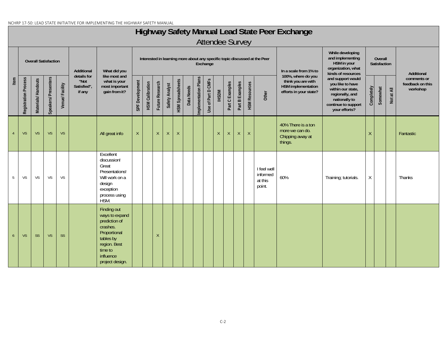#### NCHRP 17-50: LEAD STATE INITIATIVE FOR IMPLEMENTING THE HIGHWAY SAFETY MANUAL

## **Highway Safety Manual Lead State Peer Exchange**

|                |                      | <b>Overall Satisfaction</b> |                      |                | Additional                                   | What did you                                                                                                                                       |                 |                        |                 |                |                         |            |                      | Exchange           |              |                 |                 |                      | Interested in learning more about any specific topic discussed at the Peer | In a scale from 1% to                                                                    | While developing<br>and implementing<br>HSM in your<br>organization, what<br>kinds of resources                                        | Overall<br>Satisfaction |          |            | Additional                                  |
|----------------|----------------------|-----------------------------|----------------------|----------------|----------------------------------------------|----------------------------------------------------------------------------------------------------------------------------------------------------|-----------------|------------------------|-----------------|----------------|-------------------------|------------|----------------------|--------------------|--------------|-----------------|-----------------|----------------------|----------------------------------------------------------------------------|------------------------------------------------------------------------------------------|----------------------------------------------------------------------------------------------------------------------------------------|-------------------------|----------|------------|---------------------------------------------|
| Item           | Registration Process | Materials/Handouts          | Speakers/ Presenters | Venue/Facility | details for<br>"Not<br>Satisfied",<br>if any | like most and<br>what is your<br>most important<br>gain from it?                                                                                   | SPF Development | <b>HSM Calibration</b> | Future Research | Safety Analyst | <b>HSM Spreadsheets</b> | Data Needs | Implementation Plans | Use of Part D CMFs | <b>IHSDM</b> | Part C Examples | Part B Examples | <b>HSM Resources</b> | Other                                                                      | 100%, where do you<br>think you are with<br>HSM implementation<br>efforts in your state? | and support would<br>you like to have<br>within our state,<br>regionally, and<br>nationally to<br>continue to support<br>your efforts? | Completely              | Somewhat | Not at All | comments or<br>feedback on this<br>workshop |
| $\overline{4}$ | <b>VS</b>            | <b>VS</b>                   | <b>VS</b>            | <b>VS</b>      |                                              | All great info                                                                                                                                     | $\mathsf X$     |                        | $\chi$          | $\mathsf{X}$   | $\mathsf{X}$            |            |                      |                    | X            | $\mathsf{X}$    | $\mathsf{X}$    | $\mathsf{X}$         |                                                                            | 40% There is a ton<br>more we can do.<br>Chipping away at<br>things.                     |                                                                                                                                        | $\chi$                  |          |            | Fantastic                                   |
| 5              | VS                   | VS                          | <b>VS</b>            | VS             |                                              | Excellent<br>discussion!<br>Great<br>Presentations!<br>Will work on a<br>design<br>exception<br>process using<br>HSM.                              |                 |                        |                 |                |                         |            |                      |                    |              |                 |                 |                      | I feel well<br>informed<br>at this<br>point.                               | 60%                                                                                      | Training; tutorials.                                                                                                                   | X                       |          |            | Thanks                                      |
| 6 <sup>6</sup> | <b>VS</b>            | <b>SS</b>                   | <b>VS</b>            | <b>SS</b>      |                                              | Finding out<br>ways to expand<br>prediction of<br>crashes.<br>Proportional<br>tables by<br>region. Best<br>time to<br>influence<br>project design. |                 |                        | $\chi$          |                |                         |            |                      |                    |              |                 |                 |                      |                                                                            |                                                                                          |                                                                                                                                        |                         |          |            |                                             |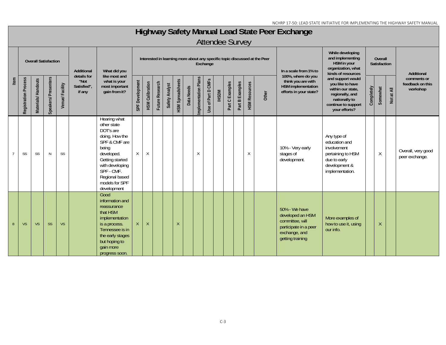## **Highway Safety Manual Lead State Peer Exchange**

|      |                      | <b>Overall Satisfaction</b> |                     |                | Additional                                   | What did you                                                                                                                                                                                              | Interested in learning more about any specific topic discussed at the Peer<br>Exchange<br>In a scale from 1% to<br>100%, where do you |                        |                 |                |                         |            |                      |                    |              |                 |                 |                      | While developing<br>and implementing<br>HSM in your<br>organization, what<br>kinds of resources | Overall<br>Satisfaction                                                                                            |                                                                                                                                        |            | Additional |               |                                             |
|------|----------------------|-----------------------------|---------------------|----------------|----------------------------------------------|-----------------------------------------------------------------------------------------------------------------------------------------------------------------------------------------------------------|---------------------------------------------------------------------------------------------------------------------------------------|------------------------|-----------------|----------------|-------------------------|------------|----------------------|--------------------|--------------|-----------------|-----------------|----------------------|-------------------------------------------------------------------------------------------------|--------------------------------------------------------------------------------------------------------------------|----------------------------------------------------------------------------------------------------------------------------------------|------------|------------|---------------|---------------------------------------------|
| Item | Registration Process | Materials/Handouts          | Speakers/Presenters | Venue/Facility | details for<br>"Not<br>Satisfied",<br>if any | like most and<br>what is your<br>most important<br>gain from it?                                                                                                                                          | SPF Development                                                                                                                       | <b>HSM Calibration</b> | Future Research | Safety Analyst | <b>HSM Spreadsheets</b> | Data Needs | Implementation Plans | Use of Part D CMFs | <b>IHSDM</b> | Part C Examples | Part B Examples | <b>HSM Resources</b> | Other                                                                                           | think you are with<br>HSM implementation<br>efforts in your state?                                                 | and support would<br>you like to have<br>within our state,<br>regionally, and<br>nationally to<br>continue to support<br>your efforts? | Completely | Somewhat   | at All<br>Not | comments or<br>feedback on this<br>workshop |
|      | SS                   | SS                          | $\mathsf{N}$        | SS             |                                              | Hearing what<br>other state<br>DOT's are<br>doing. How the<br>SPF & CMF are<br>being<br>developed.<br>Getting started<br>with developing<br>SPF - CMF.<br>Regional based<br>models for SPF<br>development | $\mathsf{X}$                                                                                                                          | $\times$               |                 |                |                         |            | $\chi$               |                    |              |                 |                 | $\times$             |                                                                                                 | 10% - Very early<br>stages of<br>development.                                                                      | Any type of<br>education and<br>involvement<br>pertaining to HSM<br>due to early<br>development &<br>implementation.                   |            | Χ          |               | Overall, very good<br>peer exchange.        |
| 8    | <b>VS</b>            | <b>VS</b>                   | <b>SS</b>           | <b>VS</b>      |                                              | Good<br>information and<br>reassurance<br>that HSM<br>implementation<br>is a process.<br>Tennessee is in<br>the early stages<br>but hoping to<br>gain more<br>progress soon.                              | $\mathsf{X}$                                                                                                                          | $\mathsf{X}$           |                 |                | $\chi$                  |            |                      |                    |              |                 |                 |                      |                                                                                                 | 50% - We have<br>developed an HSM<br>committee, will<br>participate in a peer<br>exchange, and<br>getting training | More examples of<br>how to use it, using<br>our info.                                                                                  |            | $\sf X$    |               |                                             |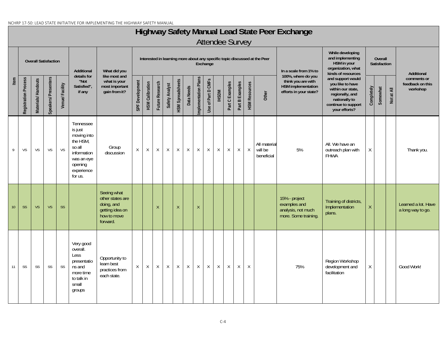#### NCHRP 17-50: LEAD STATE INITIATIVE FOR IMPLEMENTING THE HIGHWAY SAFETY MANUAL

## **Highway Safety Manual Lead State Peer Exchange**

|      |                      |                    | <b>Overall Satisfaction</b> |                | Additional<br>details for                                                                                                  | What did you<br>like most and                                                               |                 |                        |                 |                |                         |            |                      | Exchange           |              |                 |                 |                      | Interested in learning more about any specific topic discussed at the Peer | In a scale from 1% to<br>100%, where do you                                 | While developing<br>and implementing<br>HSM in your<br>organization, what<br>kinds of resources                                        |            | Overall<br>Satisfaction |            | Additional                                  |
|------|----------------------|--------------------|-----------------------------|----------------|----------------------------------------------------------------------------------------------------------------------------|---------------------------------------------------------------------------------------------|-----------------|------------------------|-----------------|----------------|-------------------------|------------|----------------------|--------------------|--------------|-----------------|-----------------|----------------------|----------------------------------------------------------------------------|-----------------------------------------------------------------------------|----------------------------------------------------------------------------------------------------------------------------------------|------------|-------------------------|------------|---------------------------------------------|
| Item | Registration Process | Materials/Handouts | Speakers/Presenters         | Venue/Facility | "Not<br>Satisfied",<br>if any                                                                                              | what is your<br>most important<br>gain from it?                                             | SPF Development | <b>HSM Calibration</b> | Future Research | Safety Analyst | <b>HSM Spreadsheets</b> | Data Needs | Implementation Plans | Use of Part D CMFs | <b>IHSDM</b> | Part C Examples | Part B Examples | <b>HSM Resources</b> | Other                                                                      | think you are with<br><b>HSM</b> implementation<br>efforts in your state?   | and support would<br>you like to have<br>within our state,<br>regionally, and<br>nationally to<br>continue to support<br>your efforts? | Completely | Somewhat                | Not at All | comments or<br>feedback on this<br>workshop |
| 9    | VS                   | VS                 | VS                          | <b>VS</b>      | Tennessee<br>is just<br>moving into<br>the HSM,<br>so all<br>information<br>was an eye<br>opening<br>experience<br>for us. | Group<br>discussion                                                                         | $\mathsf{X}$    | X                      | $\mathsf X$     | X              | $\mathsf X$             | X          | $\mathsf X$          | X                  | $\mathsf{X}$ | X               | $\mathsf X$     | $\mathsf X$          | All material<br>will be<br>beneficial                                      | 5%                                                                          | All. We have an<br>outreach plan with<br><b>FHWA</b>                                                                                   | X          |                         |            | Thank you.                                  |
| 10   | <b>SS</b>            | VS                 | <b>VS</b>                   | <b>SS</b>      |                                                                                                                            | Seeing what<br>other states are<br>doing, and<br>getting idea on<br>how to move<br>forward. |                 |                        | X               |                | $\sf X$                 |            | $\sf X$              |                    |              |                 |                 |                      |                                                                            | 15% - project<br>examples and<br>analysis, not much<br>more. Some training. | Training of districts,<br>Implementation<br>plans.                                                                                     | $\sf X$    |                         |            | Learned a lot. Have<br>a long way to go.    |
| 11   | SS                   | SS                 | SS                          | SS             | Very good<br>overall.<br>Less<br>presentatio<br>ns and<br>more time<br>to talk in<br>small<br>groups                       | Opportunity to<br>learn best<br>practices from<br>each state.                               | $\mathsf{X}$    | X                      | $\mathsf X$     | $\mathsf X$    | $\mathsf X$             | X          | $\mathsf X$          | X                  | $\mathsf{X}$ | X               | $\mathsf X$     | $\sf X$              |                                                                            | 75%                                                                         | Region Workshop<br>development and<br>facilitation                                                                                     | X          |                         |            | Good Work!                                  |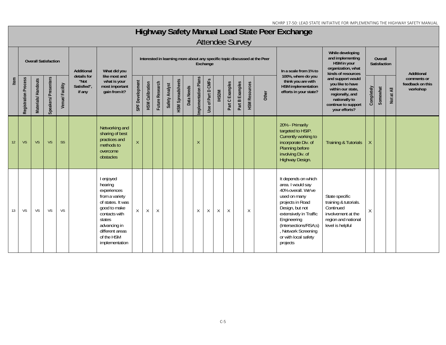## **Highway Safety Manual Lead State Peer Exchange**

|      |                      | <b>Overall Satisfaction</b> |                     |                | Additional                                   | What did you                                                                                                                                                                             |                 |                        |                 |                |                         |            |                      | Exchange           |              |                 |                 |                      | Interested in learning more about any specific topic discussed at the Peer | In a scale from 1% to                                                                                                                                                                                                                              | While developing<br>and implementing<br>HSM in your<br>organization, what<br>kinds of resources                                        |              | Overall<br>Satisfaction |            | Additional                                  |
|------|----------------------|-----------------------------|---------------------|----------------|----------------------------------------------|------------------------------------------------------------------------------------------------------------------------------------------------------------------------------------------|-----------------|------------------------|-----------------|----------------|-------------------------|------------|----------------------|--------------------|--------------|-----------------|-----------------|----------------------|----------------------------------------------------------------------------|----------------------------------------------------------------------------------------------------------------------------------------------------------------------------------------------------------------------------------------------------|----------------------------------------------------------------------------------------------------------------------------------------|--------------|-------------------------|------------|---------------------------------------------|
| Item | Registration Process | Materials/Handouts          | Speakers/Presenters | Venue/Facility | details for<br>"Not<br>Satisfied",<br>if any | like most and<br>what is your<br>most important<br>gain from it?                                                                                                                         | SPF Development | <b>HSM Calibration</b> | Future Research | Safety Analyst | <b>HSM Spreadsheets</b> | Data Needs | Implementation Plans | Use of Part D CMFs | <b>INSDM</b> | Part C Examples | Part B Examples | <b>HSM Resources</b> | Other                                                                      | 100%, where do you<br>think you are with<br>HSM implementation<br>efforts in your state?                                                                                                                                                           | and support would<br>you like to have<br>within our state,<br>regionally, and<br>nationally to<br>continue to support<br>your efforts? | Completely   | Somewhat                | Not at All | comments or<br>feedback on this<br>workshop |
| 12   | <b>VS</b>            | <b>VS</b>                   | <b>VS</b>           | <b>SS</b>      |                                              | Networking and<br>sharing of best<br>practices and<br>methods to<br>overcome<br>obstacles                                                                                                | $\mathsf{X}$    |                        |                 |                |                         |            | X                    |                    |              |                 |                 |                      |                                                                            | 20% - Primarily<br>targeted to HSIP.<br>Currently working to<br>incorporate Div. of<br>Planning before<br>involving Div. of<br>Highway Design.                                                                                                     | <b>Training &amp; Tutorials</b>                                                                                                        | X            |                         |            |                                             |
| 13   | VS                   | VS                          | <b>VS</b>           | VS             |                                              | I enjoyed<br>hearing<br>experiences<br>from a variety<br>of states. It was<br>good to make<br>contacts with<br>states<br>advancing in<br>different areas<br>of the HSM<br>implementation | X               | $\chi$                 | $\sf X$         |                |                         |            | X                    | $\mathsf X$        | $\mathsf X$  | $\chi$          |                 | $\times$             |                                                                            | It depends on which<br>area. I would say<br>40% overall. We've<br>used on many<br>projects in Road<br>Design, but not<br>extensively in Traffic<br>Engineering<br>(Intersections/RSA;s)<br>, Network Screening<br>or with local safety<br>projects | State specific<br>training & tutorials.<br>Continued<br>involvement at the<br>region and national<br>level is helpful                  | $\mathsf{X}$ |                         |            |                                             |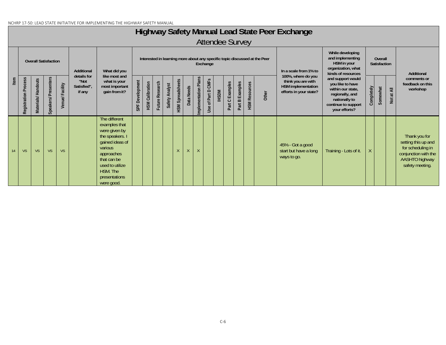#### NCHRP 17-50: LEAD STATE INITIATIVE FOR IMPLEMENTING THE HIGHWAY SAFETY MANUAL

## **Highway Safety Manual Lead State Peer Exchange**

|      |                         | <b>Overall Satisfaction</b> |                     |                | Additional                                   | What did you                                                                                                                                                                                |                    |                        |                 |                |                         |              |                      | Exchange                        |       |                 |                 |                      | Interested in learning more about any specific topic discussed at the Peer | In a scale from 1% to                                                                           | While developing<br>and implementing<br>HSM in your<br>organization, what<br>kinds of resources                                        |            | Overall<br>Satisfaction |                                       | Additional                                                                                                             |
|------|-------------------------|-----------------------------|---------------------|----------------|----------------------------------------------|---------------------------------------------------------------------------------------------------------------------------------------------------------------------------------------------|--------------------|------------------------|-----------------|----------------|-------------------------|--------------|----------------------|---------------------------------|-------|-----------------|-----------------|----------------------|----------------------------------------------------------------------------|-------------------------------------------------------------------------------------------------|----------------------------------------------------------------------------------------------------------------------------------------|------------|-------------------------|---------------------------------------|------------------------------------------------------------------------------------------------------------------------|
| Item | Process<br>Registration | Materials/Handouts          | Speakers/Presenters | Venue/Facility | details for<br>"Not<br>Satisfied",<br>if any | like most and<br>what is your<br>most important<br>gain from it?                                                                                                                            | Development<br>SPF | <b>HSM Calibration</b> | Future Research | Safety Analyst | <b>HSM Spreadsheets</b> | Data Needs   | Implementation Plans | CMFs<br>of Part D<br>$s$ e<br>∍ | IHSDM | Part C Examples | Part B Examples | <b>HSM Resources</b> | Other                                                                      | 100%, where do you<br>think you are with<br><b>HSM</b> implementation<br>efforts in your state? | and support would<br>you like to have<br>within our state,<br>regionally, and<br>nationally to<br>continue to support<br>your efforts? | Completely | Somewhat                | $\overline{\mathsf{A}}$<br><b>Not</b> | comments or<br>feedback on this<br>workshop                                                                            |
| 14   | VS                      | <b>VS</b>                   | <b>VS</b>           | <b>VS</b>      |                                              | The different<br>examples that<br>were given by<br>the speakers. I<br>gained ideas of<br>various<br>approaches<br>that can be<br>used to utilize<br>HSM. The<br>presentations<br>were good. |                    |                        |                 |                | $\mathsf{X}$            | $\mathsf{X}$ | X                    |                                 |       |                 |                 |                      |                                                                            | 45% - Got a good<br>start but have a long<br>ways to go.                                        | Training - Lots of it.                                                                                                                 |            |                         |                                       | Thank you for<br>setting this up and<br>for scheduling in<br>conjunction with the<br>AASHTO highway<br>safety meeting. |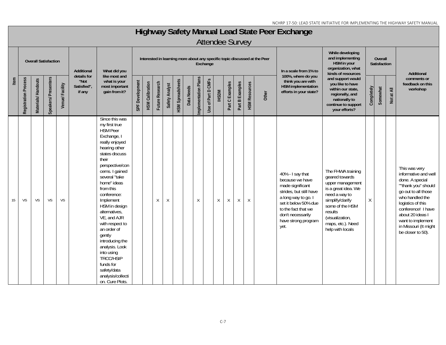## **Highway Safety Manual Lead State Peer Exchange**

|      |                      | <b>Overall Satisfaction</b> |                      |                | Additional                                   | What did you                                                                                                                                                                                                                                                                                                                                                                                                                                                             |                 |                        |                 |                |                         |            |                      | Exchange           |              |                 |                 |                      | Interested in learning more about any specific topic discussed at the Peer | In a scale from 1% to                                                                                                                                                                                        | While developing<br>and implementing<br>HSM in your<br>organization, what<br>kinds of resources                                                                                                               |            | Overall<br>Satisfaction |            | Additional                                                                                                                                                                                                                                                  |
|------|----------------------|-----------------------------|----------------------|----------------|----------------------------------------------|--------------------------------------------------------------------------------------------------------------------------------------------------------------------------------------------------------------------------------------------------------------------------------------------------------------------------------------------------------------------------------------------------------------------------------------------------------------------------|-----------------|------------------------|-----------------|----------------|-------------------------|------------|----------------------|--------------------|--------------|-----------------|-----------------|----------------------|----------------------------------------------------------------------------|--------------------------------------------------------------------------------------------------------------------------------------------------------------------------------------------------------------|---------------------------------------------------------------------------------------------------------------------------------------------------------------------------------------------------------------|------------|-------------------------|------------|-------------------------------------------------------------------------------------------------------------------------------------------------------------------------------------------------------------------------------------------------------------|
| Item | Registration Process | Materials/Handouts          | Speakers/ Presenters | Venue/Facility | details for<br>"Not<br>Satisfied",<br>if any | like most and<br>what is your<br>most important<br>gain from it?                                                                                                                                                                                                                                                                                                                                                                                                         | SPF Development | <b>HSM Calibration</b> | Future Research | Safety Analyst | <b>HSM Spreadsheets</b> | Data Needs | Implementation Plans | Use of Part D CMFs | <b>IHSDM</b> | Part C Examples | Part B Examples | <b>HSM Resources</b> | Other                                                                      | 100%, where do you<br>think you are with<br><b>HSM</b> implementation<br>efforts in your state?                                                                                                              | and support would<br>you like to have<br>within our state,<br>regionally, and<br>nationally to<br>continue to support<br>your efforts?                                                                        | Completely | Somewhat                | Not at All | comments or<br>feedback on this<br>workshop                                                                                                                                                                                                                 |
| 15   | VS                   | VS                          | VS                   | VS             |                                              | Since this was<br>my first true<br>HSM Peer<br>Exchange, I<br>really enjoyed<br>hearing other<br>states discuss<br>their<br>perspective/con<br>cerns. I gained<br>several "take<br>home" ideas<br>from this<br>conference:<br>Implement<br>HSM in design<br>alternatives,<br>VE, and AJR<br>with respect to<br>an order of<br>gently<br>introducing the<br>analysis. Look<br>into using<br>TRCC/HSIP<br>funds for<br>safety/data<br>analysis/collecti<br>on. Cure Plots. |                 |                        | X               | X              |                         |            | $\times$             |                    | $\chi$       | $\chi$          | $\chi$          | $\chi$               |                                                                            | 40% - I say that<br>because we have<br>made significant<br>strides, but still have<br>a long way to go. I<br>set it below 50% due<br>to the fact that we<br>don't necessarily<br>have strong program<br>yet. | The FHWA training<br>geared towards<br>upper management<br>is a great idea. We<br>need a way to<br>simplify/clarify<br>some of the HSM<br>results<br>(visualization,<br>maps, etc.). Need<br>help with locals | Χ          |                         |            | This was very<br>informative and well<br>done. A special<br>""thank you" should<br>go out to all those<br>who handled the<br>logistics of this<br>conference! I have<br>about 20 ideas I<br>want to implement<br>in Missouri (It might<br>be closer to 50). |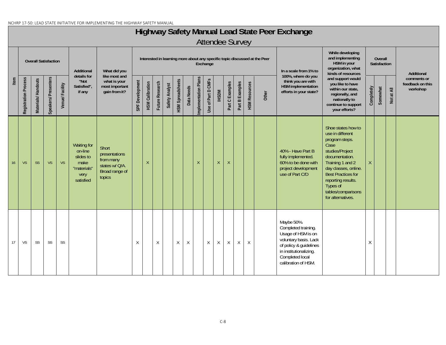#### NCHRP 17-50: LEAD STATE INITIATIVE FOR IMPLEMENTING THE HIGHWAY SAFETY MANUAL

## **Highway Safety Manual Lead State Peer Exchange**

|      |                      | <b>Overall Satisfaction</b> |                     |                | Additional                                                                      | What did you                                                                      |                 |                        |                 |                |                         |            |                      | Exchange           |              |                 |                 |                      | Interested in learning more about any specific topic discussed at the Peer | In a scale from 1% to                                                                                                                                                          | While developing<br>and implementing<br>HSM in your<br>organization, what<br>kinds of resources                                                                                                                                                             |            | Overall<br>Satisfaction |               | Additional                                  |
|------|----------------------|-----------------------------|---------------------|----------------|---------------------------------------------------------------------------------|-----------------------------------------------------------------------------------|-----------------|------------------------|-----------------|----------------|-------------------------|------------|----------------------|--------------------|--------------|-----------------|-----------------|----------------------|----------------------------------------------------------------------------|--------------------------------------------------------------------------------------------------------------------------------------------------------------------------------|-------------------------------------------------------------------------------------------------------------------------------------------------------------------------------------------------------------------------------------------------------------|------------|-------------------------|---------------|---------------------------------------------|
| Item | Registration Process | Materials/Handouts          | Speakers/Presenters | Venue/Facility | details for<br>"Not<br>Satisfied",<br>if any                                    | like most and<br>what is your<br>most important<br>gain from it?                  | SPF Development | <b>HSM Calibration</b> | Future Research | Safety Analyst | <b>HSM Spreadsheets</b> | Data Needs | Implementation Plans | Use of Part D CMFs | <b>IHSDM</b> | Part C Examples | Part B Examples | <b>HSM Resources</b> | Other                                                                      | 100%, where do you<br>think you are with<br>HSM implementation<br>efforts in your state?                                                                                       | and support would<br>you like to have<br>within our state,<br>regionally, and<br>nationally to<br>continue to support<br>your efforts?                                                                                                                      | Completely | Somewhat                | at All<br>Not | comments or<br>feedback on this<br>workshop |
| 16   | <b>VS</b>            | <b>SS</b>                   | <b>VS</b>           | <b>VS</b>      | Waiting for<br>on-line<br>slides to<br>make<br>"materials"<br>very<br>satisfied | Short<br>presentations<br>from many<br>states w/ Q/A.<br>Broad range of<br>topics |                 | $\mathsf{X}$           |                 |                |                         |            | $\sf X$              |                    | X            | $\chi$          |                 |                      |                                                                            | 40% - Have Part B<br>fully implemented.<br>60% to be done with<br>project development<br>use of Part C/D                                                                       | Shoe states how to<br>use in different<br>program steps.<br>Case<br>studies/Project<br>documentation.<br>Training 1 and 2<br>day classes, online.<br><b>Best Practices for</b><br>reporting results.<br>Types of<br>tables/comparisons<br>for alternatives. | $\times$   |                         |               |                                             |
| 17   | <b>VS</b>            | SS                          | SS                  | SS             |                                                                                 |                                                                                   | $\chi$          |                        | X               |                | $\times$                | $\chi$     |                      | $\chi$             | $\chi$       | X               | X               | $\chi$               |                                                                            | Maybe 50%.<br>Completed training.<br>Usage of HSM is on<br>voluntary basis. Lack<br>of policy & guidelines<br>in institutionalizing.<br>Completed local<br>calibration of HSM. |                                                                                                                                                                                                                                                             | X          |                         |               |                                             |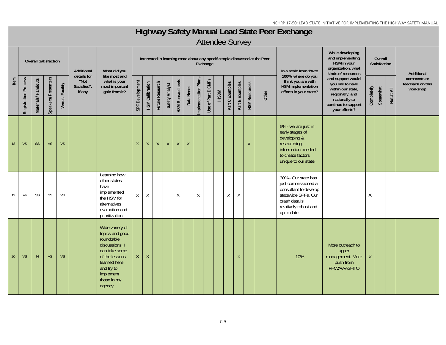## **Highway Safety Manual Lead State Peer Exchange**

|      |                      |                    | <b>Overall Satisfaction</b> |                | Additional                                   | What did you                                                                                                                                                               |                 |                        |                 |                |                         |             |                      | Exchange           |       |                 |                 |                      | Interested in learning more about any specific topic discussed at the Peer | In a scale from 1% to                                                                                                                               | While developing<br>and implementing<br>HSM in your<br>organization, what<br>kinds of resources                                        |            | Overall<br>Satisfaction |            | Additional                                  |
|------|----------------------|--------------------|-----------------------------|----------------|----------------------------------------------|----------------------------------------------------------------------------------------------------------------------------------------------------------------------------|-----------------|------------------------|-----------------|----------------|-------------------------|-------------|----------------------|--------------------|-------|-----------------|-----------------|----------------------|----------------------------------------------------------------------------|-----------------------------------------------------------------------------------------------------------------------------------------------------|----------------------------------------------------------------------------------------------------------------------------------------|------------|-------------------------|------------|---------------------------------------------|
| Item | Registration Process | Materials/Handouts | Speakers/ Presenters        | Venue/Facility | details for<br>"Not<br>Satisfied",<br>if any | like most and<br>what is your<br>most important<br>gain from it?                                                                                                           | SPF Development | <b>HSM Calibration</b> | Future Research | Safety Analyst | <b>HSM Spreadsheets</b> | Data Needs  | Implementation Plans | Use of Part D CMFs | IHSDM | Part C Examples | Part B Examples | <b>HSM Resources</b> | Other                                                                      | 100%, where do you<br>think you are with<br>HSM implementation<br>efforts in your state?                                                            | and support would<br>you like to have<br>within our state,<br>regionally, and<br>nationally to<br>continue to support<br>your efforts? | Completely | Somewhat                | Not at All | comments or<br>feedback on this<br>workshop |
| 18   | <b>VS</b>            | <b>SS</b>          | <b>VS</b>                   | <b>VS</b>      |                                              |                                                                                                                                                                            | $\mathsf{X}$    | X                      | X               | $\mathsf{X}$   | $\mathsf X$             | $\mathsf X$ |                      |                    |       |                 |                 | $\lambda$            |                                                                            | 5% - we are just in<br>early stages of<br>developing &<br>researching<br>information needed<br>to create factors<br>unique to our state.            |                                                                                                                                        |            |                         |            |                                             |
| 19   | Vs                   | SS                 | SS                          | <b>VS</b>      |                                              | Learning how<br>other states<br>have<br>implemented<br>the HSM for<br>alternatives<br>evaluation and<br>prioritization.                                                    | $\chi$          | $\times$               |                 |                | X                       |             | X                    |                    |       | X               | $\times$        |                      |                                                                            | 30% - Our state has<br>just commissioned a<br>consultant to develop<br>statewide SPFs. Our<br>crash data is<br>relatively robust and<br>up to date. |                                                                                                                                        | Χ          |                         |            |                                             |
| 20   | <b>VS</b>            | N                  | <b>VS</b>                   | <b>VS</b>      |                                              | Wide variety of<br>topics and good<br>roundtable<br>discussions. I<br>can take some<br>of the lessons<br>learned here<br>and try to<br>implement<br>those in my<br>agency. | X               | $\chi$                 |                 |                |                         |             |                      |                    |       |                 | $\chi$          |                      |                                                                            | 10%                                                                                                                                                 | More outreach to<br>upper<br>management. More<br>push from<br>FHWA/AASHTO                                                              |            |                         |            |                                             |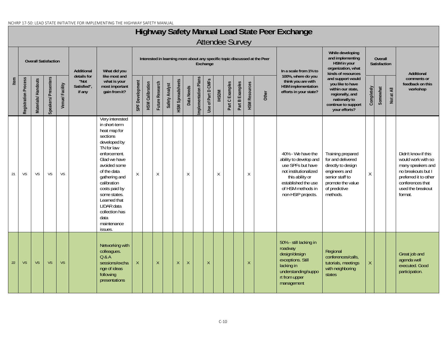#### NCHRP 17-50: LEAD STATE INITIATIVE FOR IMPLEMENTING THE HIGHWAY SAFETY MANUAL

### **Highway Safety Manual Lead State Peer Exchange**

|      |                      | <b>Overall Satisfaction</b> |                     |                | Additional                                   | What did you                                                                                                                                                                                                                                                                                                 |                 |                        |                 |                |                         |              |                      | Exchange           |               |                 |                 |                      | Interested in learning more about any specific topic discussed at the Peer | In a scale from 1% to                                                                                                                                                          | While developing<br>and implementing<br>HSM in your<br>organization, what<br>kinds of resources                                                    |              | Overall<br>Satisfaction |            | Additional                                                                                                                                                        |
|------|----------------------|-----------------------------|---------------------|----------------|----------------------------------------------|--------------------------------------------------------------------------------------------------------------------------------------------------------------------------------------------------------------------------------------------------------------------------------------------------------------|-----------------|------------------------|-----------------|----------------|-------------------------|--------------|----------------------|--------------------|---------------|-----------------|-----------------|----------------------|----------------------------------------------------------------------------|--------------------------------------------------------------------------------------------------------------------------------------------------------------------------------|----------------------------------------------------------------------------------------------------------------------------------------------------|--------------|-------------------------|------------|-------------------------------------------------------------------------------------------------------------------------------------------------------------------|
| Item | Registration Process | Materials/Handouts          | Speakers/Presenters | Venue/Facility | details for<br>"Not<br>Satisfied",<br>if any | like most and<br>what is your<br>most important<br>gain from it?                                                                                                                                                                                                                                             | SPF Development | <b>HSM Calibration</b> | Future Research | Safety Analyst | <b>HSM Spreadsheets</b> | Data Needs   | Implementation Plans | Use of Part D CMFs | <b>INCSPM</b> | Part C Examples | Part B Examples | <b>HSM Resources</b> | Other                                                                      | 100%, where do you<br>think you are with<br><b>HSM</b> implementation<br>efforts in your state?                                                                                | and support would<br>you like to have<br>within our state,<br>regionally, and<br>nationally to<br>continue to support<br>your efforts?             | Completely   | Somewhat                | Not at All | comments or<br>feedback on this<br>workshop                                                                                                                       |
| 21   | VS                   | VS                          | VS                  | VS             |                                              | Very interested<br>in short-term<br>heat map for<br>sections<br>developed by<br>TN for law<br>enforcement.<br>Glad we have<br>avoided some<br>of the data<br>gathering and<br>calibration<br>costs paid by<br>some states.<br>Learned that<br>LIDAR data<br>collection has<br>data<br>maintenance<br>issues. | X               |                        | X               |                |                         | $\chi$       |                      |                    | X             |                 |                 | $\chi$               |                                                                            | 40% - We have the<br>ability to develop and<br>use SPFs but have<br>not institutionalized<br>this ability or<br>established the use<br>of HSM methods in<br>non-HSIP projects. | Training prepared<br>for and delivered<br>directly to design<br>engineers and<br>senior staff to<br>promote the value<br>of predictive<br>methods. | $\mathsf{X}$ |                         |            | Didn't know if this<br>would work with so<br>many speakers and<br>no breakouts but I<br>preferred it to other<br>conferences that<br>used the breakout<br>format. |
| 22   | <b>VS</b>            | <b>VS</b>                   | <b>VS</b>           | <b>VS</b>      |                                              | Networking with<br>colleagues.<br>Q & A<br>sessions/excha<br>nge of ideas<br>following<br>presentations                                                                                                                                                                                                      | $\mathsf X$     |                        | $\mathsf X$     |                | $\chi$                  | $\mathsf{X}$ |                      | $\mathsf{X}$       |               |                 |                 | $\mathsf{X}$         |                                                                            | 50% - still lacking in<br>roadway<br>design/design<br>exceptions. Still<br>lacking in<br>understanding/suppo<br>rt from upper<br>management                                    | Regional<br>conferences/calls,<br>tutorials, meetings<br>with neighboring<br>states                                                                | $\mathsf{X}$ |                         |            | Great job and<br>agenda well<br>executed. Good<br>participation.                                                                                                  |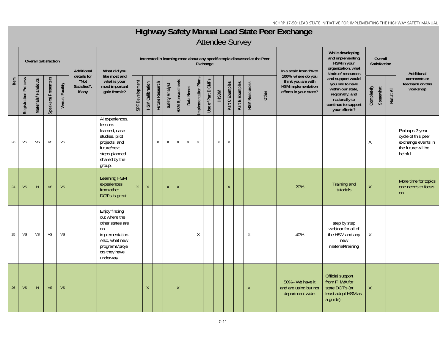## **Highway Safety Manual Lead State Peer Exchange**

|      |                      | <b>Overall Satisfaction</b> |                      |                | <b>Additional</b>                            | What did you                                                                                                                                  |                 |                        |                 |                |                         |            |                      | Exchange           |              |                         |                 |                      | Interested in learning more about any specific topic discussed at the Peer | In a scale from 1% to                                                                    | While developing<br>and implementing<br>HSM in your<br>organization, what<br>kinds of resources                                        |              | Overall<br>Satisfaction |            | Additional                                                                                   |
|------|----------------------|-----------------------------|----------------------|----------------|----------------------------------------------|-----------------------------------------------------------------------------------------------------------------------------------------------|-----------------|------------------------|-----------------|----------------|-------------------------|------------|----------------------|--------------------|--------------|-------------------------|-----------------|----------------------|----------------------------------------------------------------------------|------------------------------------------------------------------------------------------|----------------------------------------------------------------------------------------------------------------------------------------|--------------|-------------------------|------------|----------------------------------------------------------------------------------------------|
| Item | Registration Process | Materials/Handouts          | Speakers/ Presenters | Venue/Facility | details for<br>"Not<br>Satisfied",<br>if any | like most and<br>what is your<br>most important<br>gain from it?                                                                              | SPF Development | <b>HSM Calibration</b> | Future Research | Safety Analyst | <b>HSM Spreadsheets</b> | Data Needs | Implementation Plans | Use of Part D CMFs | <b>IHSDM</b> | Part C Examples         | Part B Examples | <b>HSM Resources</b> | Other                                                                      | 100%, where do you<br>think you are with<br>HSM implementation<br>efforts in your state? | and support would<br>you like to have<br>within our state,<br>regionally, and<br>nationally to<br>continue to support<br>your efforts? | Completely   | Somewhat                | Not at All | comments or<br>feedback on this<br>workshop                                                  |
| 23   | VS                   | VS                          | VS                   | VS             |                                              | Al experiences,<br>lessons<br>learned, case<br>studies, pilot<br>projects, and<br>future/next<br>steps planned<br>shared by the<br>group.     |                 |                        | X               | X              | $\mathsf X$             | X          | $\mathsf X$          |                    | $\mathsf X$  | $\mathsf X$             |                 |                      |                                                                            |                                                                                          |                                                                                                                                        | $\mathsf X$  |                         |            | Perhaps 2-year<br>cycle of this peer<br>exchange events in<br>the future will be<br>helpful. |
| 24   | <b>VS</b>            | N.                          | <b>VS</b>            | <b>VS</b>      |                                              | <b>Learning HSM</b><br>experiences<br>from other<br>DOT's is great.                                                                           | $\mathsf{X}$    | $\sf X$                |                 | $\chi$         | $\sf X$                 |            |                      |                    |              | $\overline{\mathsf{X}}$ |                 |                      |                                                                            | 20%                                                                                      | Training and<br>tutorials                                                                                                              | $\mathsf X$  |                         |            | More time for topics<br>one needs to focus<br>on.                                            |
| 25   | VS                   | VS                          | VS                   | VS             |                                              | Enjoy finding<br>out where the<br>other states are<br>on<br>implementation.<br>Also, what new<br>programs/proje<br>cts they have<br>underway. |                 |                        |                 |                |                         |            | X                    |                    |              |                         |                 | $\chi$               |                                                                            | 40%                                                                                      | step by step<br>webinar for all of<br>the HSM and any<br>new<br>material/training                                                      | $\sf X$      |                         |            |                                                                                              |
| 26   | VS                   | N                           | VS                   | <b>VS</b>      |                                              |                                                                                                                                               |                 | X                      |                 |                | $\mathsf X$             |            |                      |                    |              |                         |                 | $\mathsf{X}$         |                                                                            | 50% - We have it<br>and are using but not<br>department wide.                            | Official support<br>from FHWA for<br>state DOT's (at<br>least adopt HSM as<br>a guide).                                                | $\mathsf{X}$ |                         |            |                                                                                              |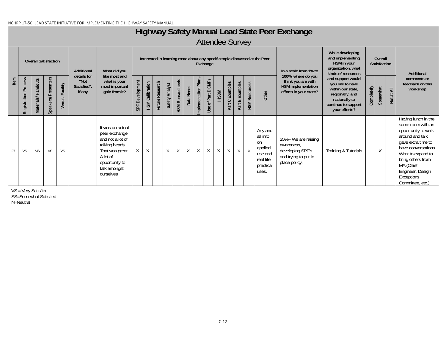#### NCHRP 17-50: LEAD STATE INITIATIVE FOR IMPLEMENTING THE HIGHWAY SAFETY MANUAL

## **Highway Safety Manual Lead State Peer Exchange**

Attendee Survey

|      |                         | <b>Overall Satisfaction</b> |                     |                | Additional                                   | What did you                                                                                                                                          |                    |                        |                 |                   |                         |            |                      | Exchange                     |              |                 |                 |                      | Interested in learning more about any specific topic discussed at the Peer         | In a scale from 1% to                                                                           | While developing<br>and implementing<br>HSM in your<br>organization, what<br>kinds of resources                                        |            | Overall<br>Satisfaction |            | Additional                                                                                                                                                                                                                                   |
|------|-------------------------|-----------------------------|---------------------|----------------|----------------------------------------------|-------------------------------------------------------------------------------------------------------------------------------------------------------|--------------------|------------------------|-----------------|-------------------|-------------------------|------------|----------------------|------------------------------|--------------|-----------------|-----------------|----------------------|------------------------------------------------------------------------------------|-------------------------------------------------------------------------------------------------|----------------------------------------------------------------------------------------------------------------------------------------|------------|-------------------------|------------|----------------------------------------------------------------------------------------------------------------------------------------------------------------------------------------------------------------------------------------------|
| Item | Process<br>Registration | Materials/Handouts          | Speakers/Presenters | Venue/Facility | details for<br>"Not<br>Satisfied",<br>if any | like most and<br>what is your<br>most important<br>gain from it?                                                                                      | Development<br>SPF | <b>HSM Calibration</b> | Future Research | Analyst<br>Safety | <b>HSM Spreadsheets</b> | Data Needs | Implementation Plans | <b>CMFs</b><br>Use of Part D | IHSDM        | Part C Examples | Part B Examples | <b>HSM Resources</b> | Other                                                                              | 100%, where do you<br>think you are with<br><b>HSM</b> implementation<br>efforts in your state? | and support would<br>you like to have<br>within our state,<br>regionally, and<br>nationally to<br>continue to support<br>your efforts? | Completely | Somewhat                | Not at All | comments or<br>feedback on this<br>workshop                                                                                                                                                                                                  |
| 27   | VS                      | <b>VS</b>                   | <b>VS</b>           | <b>VS</b>      |                                              | It was an actual<br>peer exchange<br>and not a lot of<br>talking heads.<br>That was great.<br>A lot of<br>opportunity to<br>talk amongst<br>ourselves | $\mathsf{X}$       | $\chi$                 |                 | X                 | $\sf X$                 | X          | $\mathsf{X}$         | X                            | $\mathsf{X}$ | X               | $\mathsf{X}$    | $\mathsf{X}$         | Any and<br>all info<br>on<br>applied<br>use and<br>real life<br>practical<br>uses. | 25% - We are raising<br>awareness,<br>developing SPF's<br>and trying to put in<br>place policy. | Training & Tutorials                                                                                                                   |            | Χ                       |            | Having lunch in the<br>same room with an<br>opportunity to walk<br>around and talk<br>gave extra time to<br>have conversations.<br>Want to expand to<br>bring others from<br>MA (Chief<br>Engineer, Design<br>Exceptions<br>Committee, etc.) |

VS = Very Satisfied SS=Somewhat Satisfied N=Neutral